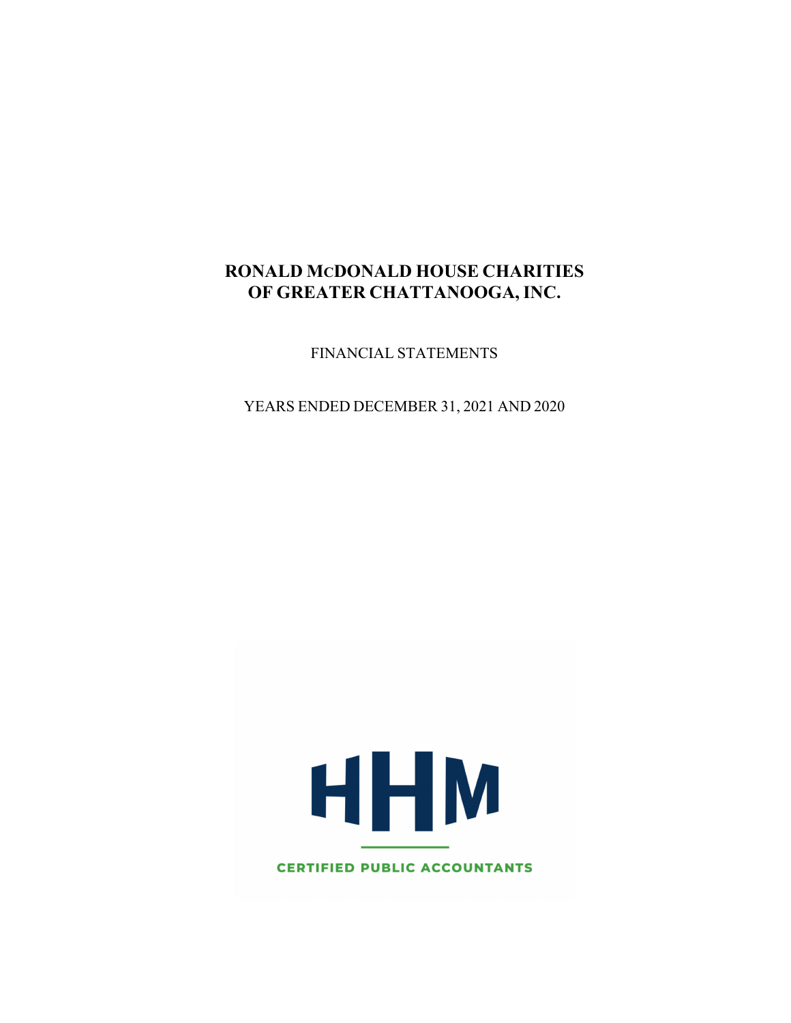FINANCIAL STATEMENTS

YEARS ENDED DECEMBER 31, 2021 AND 2020



**CERTIFIED PUBLIC ACCOUNTANTS**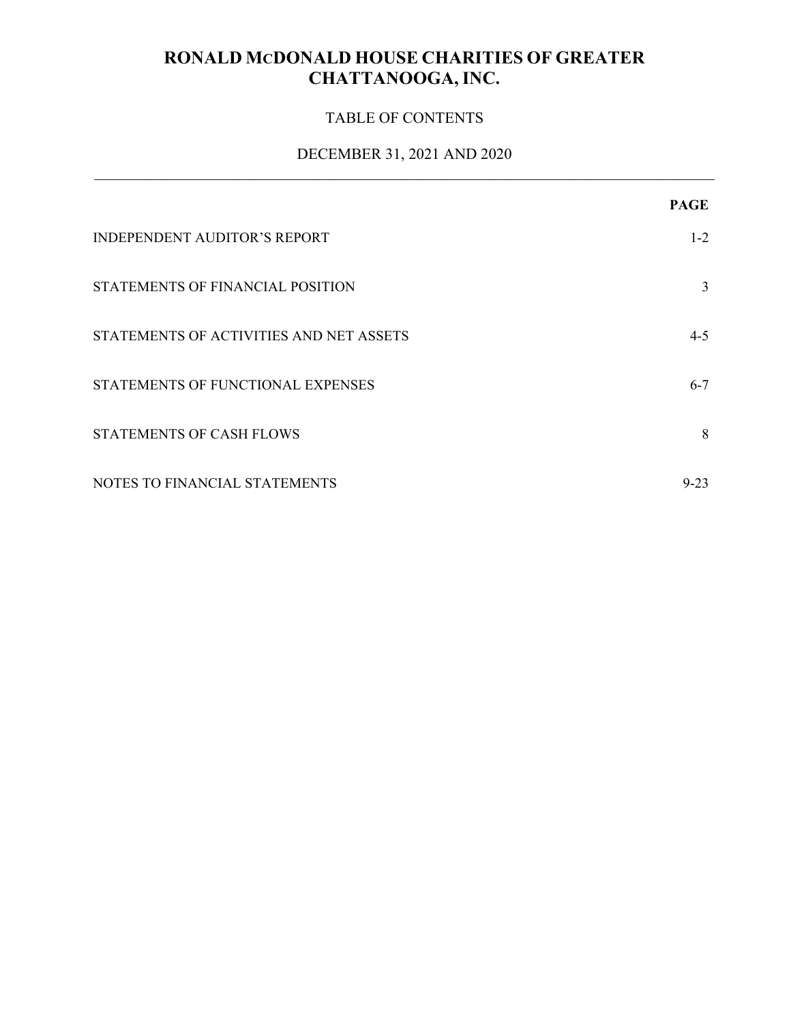## TABLE OF CONTENTS

## DECEMBER 31, 2021 AND 2020

|                                         | <b>PAGE</b> |
|-----------------------------------------|-------------|
| <b>INDEPENDENT AUDITOR'S REPORT</b>     | $1 - 2$     |
| STATEMENTS OF FINANCIAL POSITION        | 3           |
| STATEMENTS OF ACTIVITIES AND NET ASSETS | $4 - 5$     |
| STATEMENTS OF FUNCTIONAL EXPENSES       | $6 - 7$     |
| <b>STATEMENTS OF CASH FLOWS</b>         | 8           |
| NOTES TO FINANCIAL STATEMENTS           | $9 - 23$    |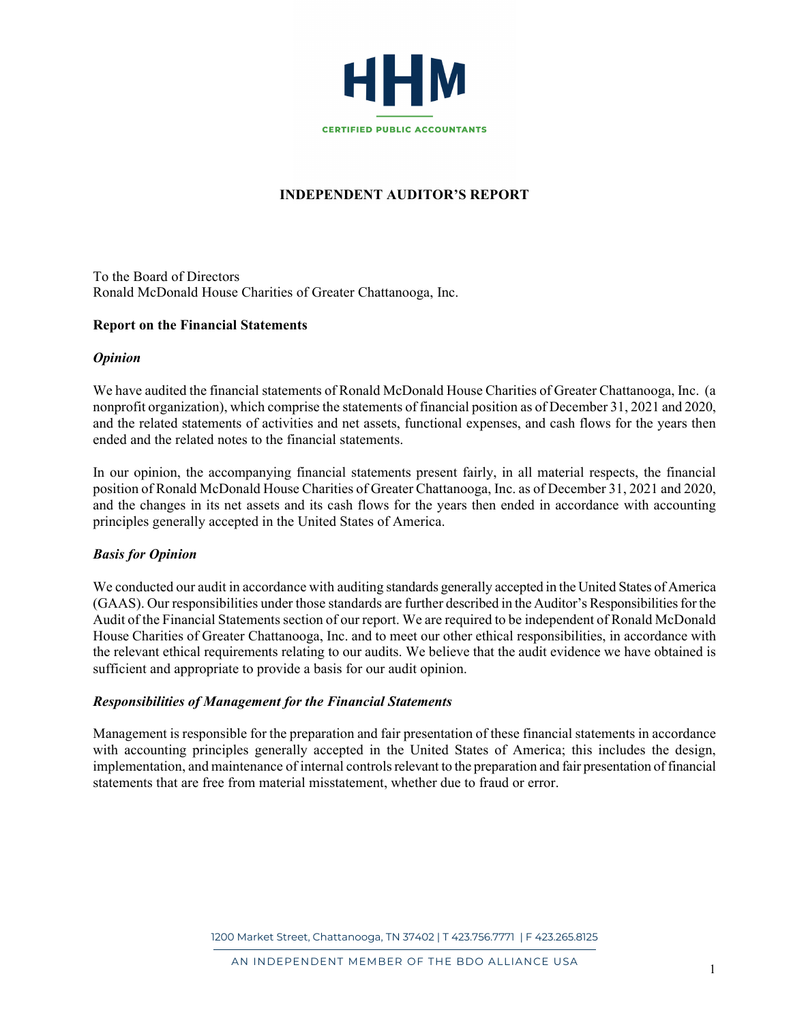

## **INDEPENDENT AUDITOR'S REPORT**

To the Board of Directors Ronald McDonald House Charities of Greater Chattanooga, Inc.

#### **Report on the Financial Statements**

#### *Opinion*

We have audited the financial statements of Ronald McDonald House Charities of Greater Chattanooga, Inc. (a nonprofit organization), which comprise the statements of financial position as of December 31, 2021 and 2020, and the related statements of activities and net assets, functional expenses, and cash flows for the years then ended and the related notes to the financial statements.

In our opinion, the accompanying financial statements present fairly, in all material respects, the financial position of Ronald McDonald House Charities of Greater Chattanooga, Inc. as of December 31, 2021 and 2020, and the changes in its net assets and its cash flows for the years then ended in accordance with accounting principles generally accepted in the United States of America.

#### *Basis for Opinion*

We conducted our audit in accordance with auditing standards generally accepted in the United States of America (GAAS). Our responsibilities under those standards are further described in the Auditor's Responsibilities for the Audit of the Financial Statements section of our report. We are required to be independent of Ronald McDonald House Charities of Greater Chattanooga, Inc. and to meet our other ethical responsibilities, in accordance with the relevant ethical requirements relating to our audits. We believe that the audit evidence we have obtained is sufficient and appropriate to provide a basis for our audit opinion.

#### *Responsibilities of Management for the Financial Statements*

Management is responsible for the preparation and fair presentation of these financial statements in accordance with accounting principles generally accepted in the United States of America; this includes the design, implementation, and maintenance of internal controls relevant to the preparation and fair presentation of financial statements that are free from material misstatement, whether due to fraud or error.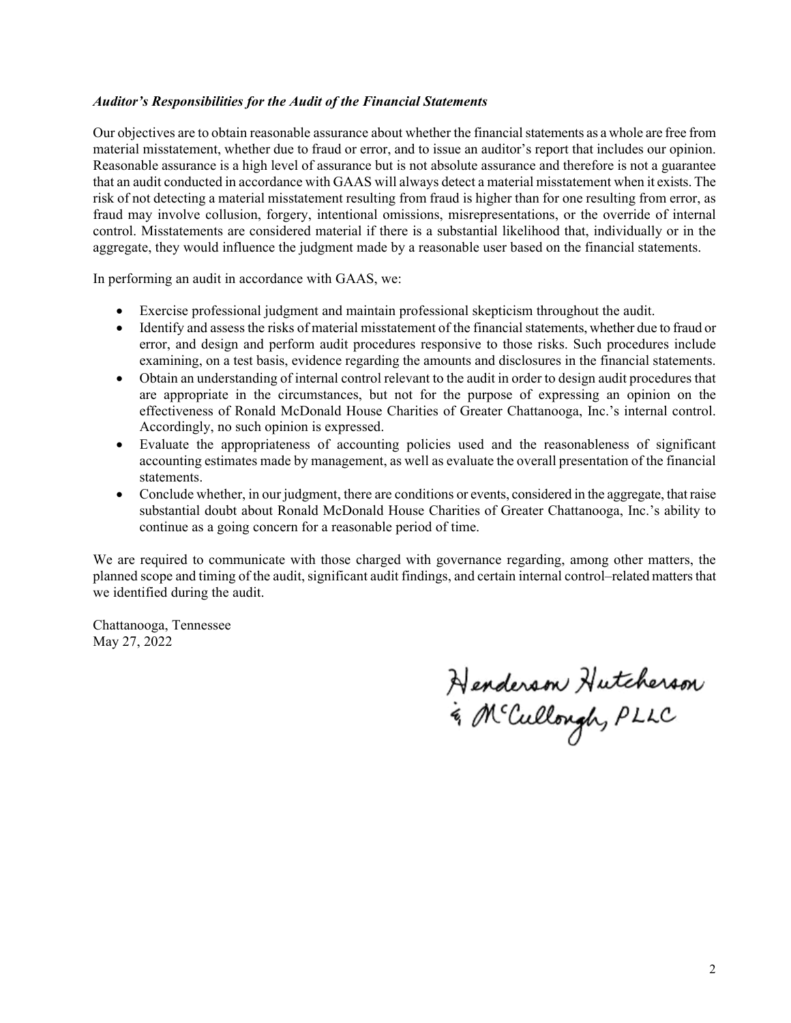#### *Auditor's Responsibilities for the Audit of the Financial Statements*

Our objectives are to obtain reasonable assurance about whether the financial statements as a whole are free from material misstatement, whether due to fraud or error, and to issue an auditor's report that includes our opinion. Reasonable assurance is a high level of assurance but is not absolute assurance and therefore is not a guarantee that an audit conducted in accordance with GAAS will always detect a material misstatement when it exists. The risk of not detecting a material misstatement resulting from fraud is higher than for one resulting from error, as fraud may involve collusion, forgery, intentional omissions, misrepresentations, or the override of internal control. Misstatements are considered material if there is a substantial likelihood that, individually or in the aggregate, they would influence the judgment made by a reasonable user based on the financial statements.

In performing an audit in accordance with GAAS, we:

- Exercise professional judgment and maintain professional skepticism throughout the audit.
- Identify and assess the risks of material misstatement of the financial statements, whether due to fraud or error, and design and perform audit procedures responsive to those risks. Such procedures include examining, on a test basis, evidence regarding the amounts and disclosures in the financial statements.
- Obtain an understanding of internal control relevant to the audit in order to design audit procedures that are appropriate in the circumstances, but not for the purpose of expressing an opinion on the effectiveness of Ronald McDonald House Charities of Greater Chattanooga, Inc.'s internal control. Accordingly, no such opinion is expressed.
- Evaluate the appropriateness of accounting policies used and the reasonableness of significant accounting estimates made by management, as well as evaluate the overall presentation of the financial statements.
- Conclude whether, in our judgment, there are conditions or events, considered in the aggregate, that raise substantial doubt about Ronald McDonald House Charities of Greater Chattanooga, Inc.'s ability to continue as a going concern for a reasonable period of time.

We are required to communicate with those charged with governance regarding, among other matters, the planned scope and timing of the audit, significant audit findings, and certain internal control–related matters that we identified during the audit.

Chattanooga, Tennessee May 27, 2022

Henderson Hutcherson<br>& McCullongh, PLLC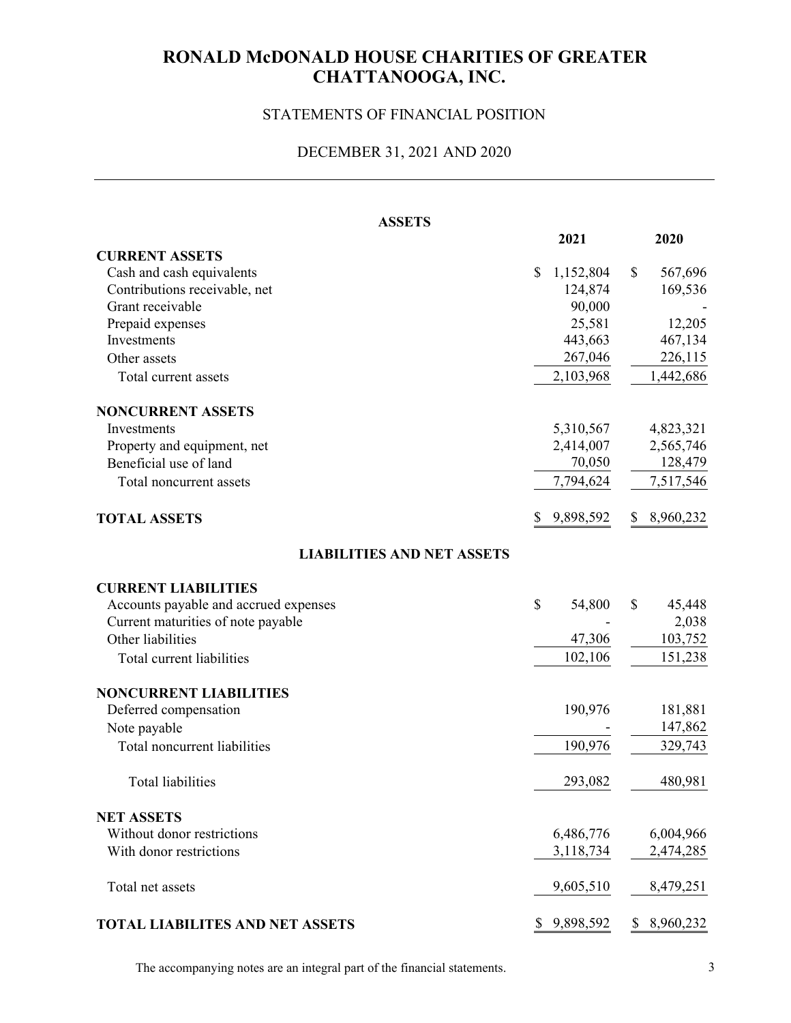## STATEMENTS OF FINANCIAL POSITION

# DECEMBER 31, 2021 AND 2020

| <b>ASSETS</b>                          |                 |                 |
|----------------------------------------|-----------------|-----------------|
| <b>CURRENT ASSETS</b>                  | 2021            | 2020            |
| Cash and cash equivalents              | 1,152,804<br>\$ | \$<br>567,696   |
| Contributions receivable, net          | 124,874         | 169,536         |
| Grant receivable                       | 90,000          |                 |
| Prepaid expenses                       | 25,581          | 12,205          |
| Investments                            | 443,663         | 467,134         |
| Other assets                           | 267,046         | 226,115         |
| Total current assets                   | 2,103,968       | 1,442,686       |
| <b>NONCURRENT ASSETS</b>               |                 |                 |
| Investments                            | 5,310,567       | 4,823,321       |
| Property and equipment, net            | 2,414,007       | 2,565,746       |
| Beneficial use of land                 | 70,050          | 128,479         |
| Total noncurrent assets                | 7,794,624       | 7,517,546       |
| <b>TOTAL ASSETS</b>                    | 9,898,592<br>Y. | 8,960,232<br>\$ |
| <b>LIABILITIES AND NET ASSETS</b>      |                 |                 |
| <b>CURRENT LIABILITIES</b>             |                 |                 |
| Accounts payable and accrued expenses  | \$<br>54,800    | \$<br>45,448    |
| Current maturities of note payable     |                 | 2,038           |
| Other liabilities                      | 47,306          | 103,752         |
| Total current liabilities              | 102,106         | 151,238         |
| <b>NONCURRENT LIABILITIES</b>          |                 |                 |
| Deferred compensation                  | 190,976         | 181,881         |
| Note payable                           |                 | 147,862         |
| Total noncurrent liabilities           | 190,976         | 329,743         |
| Total liabilities                      | 293,082         | 480,981         |
| <b>NET ASSETS</b>                      |                 |                 |
| Without donor restrictions             | 6,486,776       | 6,004,966       |
| With donor restrictions                | 3,118,734       | 2,474,285       |
| Total net assets                       | 9,605,510       | 8,479,251       |
| <b>TOTAL LIABILITES AND NET ASSETS</b> | \$9,898,592     | 8,960,232<br>\$ |

The accompanying notes are an integral part of the financial statements. 3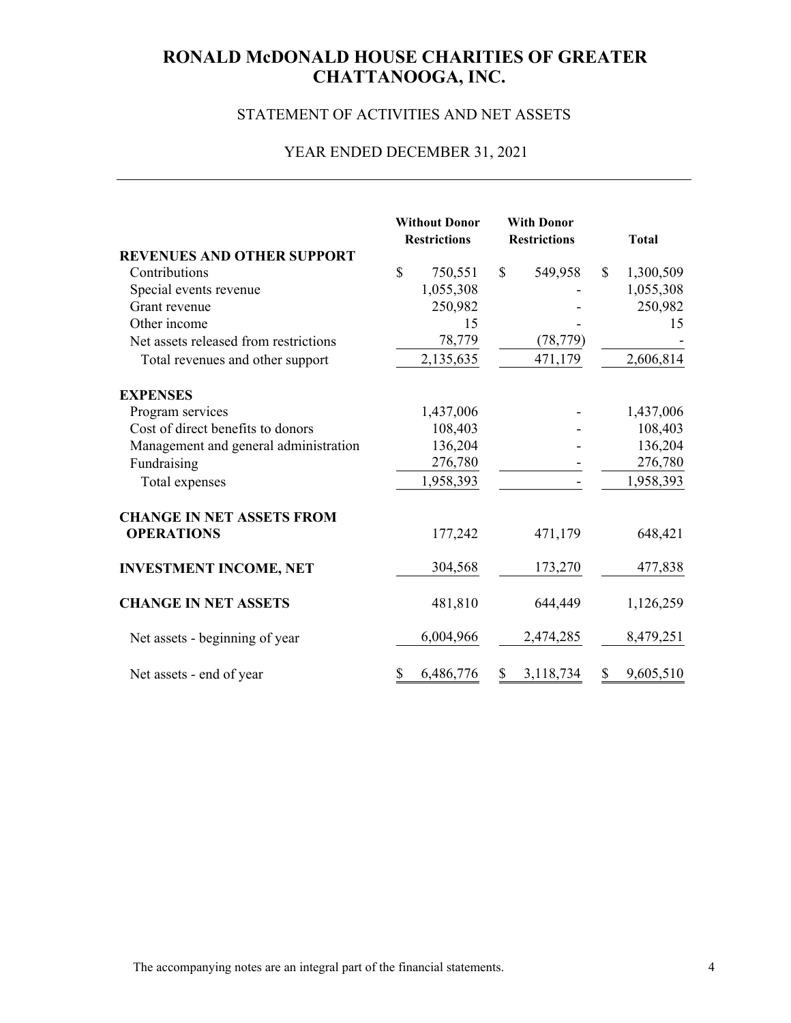# **CHATTANOOGA, INC. RONALD McDONALD HOUSE CHARITIES OF GREATER**

## STATEMENT OF ACTIVITIES AND NET ASSETS

## YEAR ENDED DECEMBER 31, 2021

|                                       |    | <b>Without Donor</b><br><b>Restrictions</b> | <b>With Donor</b><br><b>Restrictions</b> | <b>Total</b>    |
|---------------------------------------|----|---------------------------------------------|------------------------------------------|-----------------|
| <b>REVENUES AND OTHER SUPPORT</b>     |    |                                             |                                          |                 |
| Contributions                         | \$ | 750,551                                     | \$<br>549,958                            | \$<br>1,300,509 |
| Special events revenue                |    | 1,055,308                                   |                                          | 1,055,308       |
| Grant revenue                         |    | 250,982                                     |                                          | 250,982         |
| Other income                          |    | 15                                          |                                          | 15              |
| Net assets released from restrictions |    | 78,779                                      | (78, 779)                                |                 |
| Total revenues and other support      |    | 2,135,635                                   | 471,179                                  | 2,606,814       |
| <b>EXPENSES</b>                       |    |                                             |                                          |                 |
| Program services                      |    | 1,437,006                                   |                                          | 1,437,006       |
| Cost of direct benefits to donors     |    | 108,403                                     |                                          | 108,403         |
| Management and general administration |    | 136,204                                     |                                          | 136,204         |
| Fundraising                           |    | 276,780                                     |                                          | 276,780         |
| Total expenses                        |    | 1,958,393                                   |                                          | 1,958,393       |
| <b>CHANGE IN NET ASSETS FROM</b>      |    |                                             |                                          |                 |
| <b>OPERATIONS</b>                     |    | 177,242                                     | 471,179                                  | 648,421         |
| <b>INVESTMENT INCOME, NET</b>         |    | 304,568                                     | 173,270                                  | 477,838         |
| <b>CHANGE IN NET ASSETS</b>           |    | 481,810                                     | 644,449                                  | 1,126,259       |
| Net assets - beginning of year        |    | 6,004,966                                   | 2,474,285                                | 8,479,251       |
| Net assets - end of year              | \$ | 6,486,776                                   | \$<br>3,118,734                          | \$<br>9,605,510 |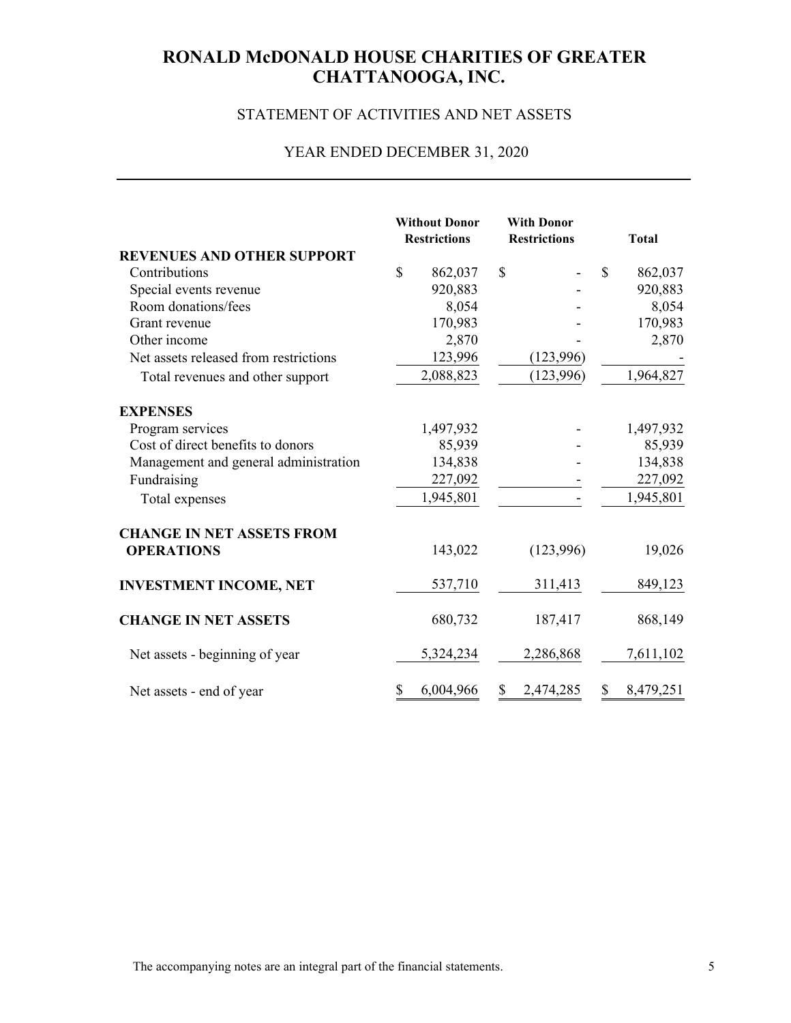## STATEMENT OF ACTIVITIES AND NET ASSETS

## YEAR ENDED DECEMBER 31, 2020

|                                       | <b>Without Donor</b><br><b>Restrictions</b> | <b>With Donor</b><br><b>Restrictions</b> | <b>Total</b>    |
|---------------------------------------|---------------------------------------------|------------------------------------------|-----------------|
| <b>REVENUES AND OTHER SUPPORT</b>     |                                             |                                          |                 |
| Contributions                         | \$<br>862,037                               | \$                                       | \$<br>862,037   |
| Special events revenue                | 920,883                                     |                                          | 920,883         |
| Room donations/fees                   | 8,054                                       |                                          | 8,054           |
| Grant revenue                         | 170,983                                     |                                          | 170,983         |
| Other income                          | 2,870                                       |                                          | 2,870           |
| Net assets released from restrictions | 123,996                                     | (123,996)                                |                 |
| Total revenues and other support      | 2,088,823                                   | (123,996)                                | 1,964,827       |
| <b>EXPENSES</b>                       |                                             |                                          |                 |
| Program services                      | 1,497,932                                   |                                          | 1,497,932       |
| Cost of direct benefits to donors     | 85,939                                      |                                          | 85,939          |
| Management and general administration | 134,838                                     |                                          | 134,838         |
| Fundraising                           | 227,092                                     |                                          | 227,092         |
| Total expenses                        | 1,945,801                                   |                                          | 1,945,801       |
| <b>CHANGE IN NET ASSETS FROM</b>      |                                             |                                          |                 |
| <b>OPERATIONS</b>                     | 143,022                                     | (123,996)                                | 19,026          |
| <b>INVESTMENT INCOME, NET</b>         | 537,710                                     | 311,413                                  | 849,123         |
| <b>CHANGE IN NET ASSETS</b>           | 680,732                                     | 187,417                                  | 868,149         |
| Net assets - beginning of year        | 5,324,234                                   | 2,286,868                                | 7,611,102       |
| Net assets - end of year              | \$<br>6,004,966                             | \$<br>2,474,285                          | \$<br>8,479,251 |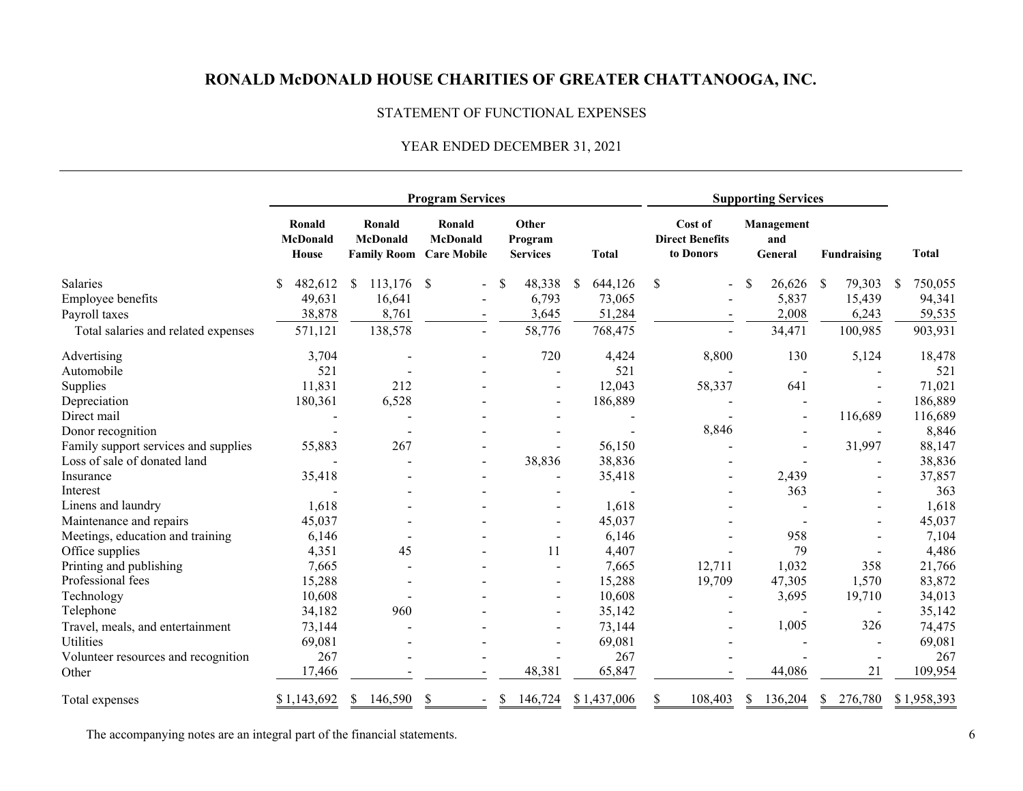### STATEMENT OF FUNCTIONAL EXPENSES

|                                      | <b>Program Services</b>            |                                                 |                                                 |                                     |    |              | <b>Supporting Services</b>                     |    |                              |                          |               |              |
|--------------------------------------|------------------------------------|-------------------------------------------------|-------------------------------------------------|-------------------------------------|----|--------------|------------------------------------------------|----|------------------------------|--------------------------|---------------|--------------|
|                                      | Ronald<br>McDonald<br><b>House</b> | Ronald<br><b>McDonald</b><br><b>Family Room</b> | Ronald<br><b>McDonald</b><br><b>Care Mobile</b> | Other<br>Program<br><b>Services</b> |    | <b>Total</b> | Cost of<br><b>Direct Benefits</b><br>to Donors |    | Management<br>and<br>General | <b>Fundraising</b>       |               | <b>Total</b> |
| Salaries                             | 482,612<br>\$                      | 113,176<br>\$                                   | -\$<br>$\blacksquare$                           | \$<br>48,338                        | \$ | 644,126      | \$<br>$\blacksquare$                           | \$ | 26,626                       | \$<br>79,303             | <sup>\$</sup> | 750,055      |
| Employee benefits                    | 49,631                             | 16,641                                          | $\blacksquare$                                  | 6,793                               |    | 73,065       |                                                |    | 5,837                        | 15,439                   |               | 94,341       |
| Payroll taxes                        | 38,878                             | 8,761                                           |                                                 | 3,645                               |    | 51,284       |                                                |    | 2,008                        | 6,243                    |               | 59,535       |
| Total salaries and related expenses  | 571,121                            | 138,578                                         | $\blacksquare$                                  | 58,776                              |    | 768,475      |                                                |    | 34,471                       | 100,985                  |               | 903,931      |
| Advertising                          | 3,704                              |                                                 |                                                 | 720                                 |    | 4,424        | 8,800                                          |    | 130                          | 5,124                    |               | 18,478       |
| Automobile                           | 521                                |                                                 |                                                 |                                     |    | 521          |                                                |    | $\sim$                       |                          |               | 521          |
| Supplies                             | 11,831                             | 212                                             |                                                 | $\sim$                              |    | 12,043       | 58,337                                         |    | 641                          | $\blacksquare$           |               | 71,021       |
| Depreciation                         | 180,361                            | 6,528                                           |                                                 | $\sim$                              |    | 186,889      |                                                |    |                              |                          |               | 186,889      |
| Direct mail                          |                                    |                                                 |                                                 |                                     |    |              |                                                |    |                              | 116,689                  |               | 116,689      |
| Donor recognition                    |                                    |                                                 |                                                 |                                     |    |              | 8,846                                          |    | $\blacksquare$               | $\sim$                   |               | 8,846        |
| Family support services and supplies | 55,883                             | 267                                             |                                                 |                                     |    | 56,150       |                                                |    | $\overline{\phantom{0}}$     | 31,997                   |               | 88,147       |
| Loss of sale of donated land         |                                    |                                                 | $\sim$                                          | 38,836                              |    | 38,836       |                                                |    |                              | $\overline{\phantom{a}}$ |               | 38,836       |
| Insurance                            | 35,418                             |                                                 |                                                 | $\overline{a}$                      |    | 35,418       | $\blacksquare$                                 |    | 2,439                        | $\overline{\phantom{a}}$ |               | 37,857       |
| Interest                             |                                    |                                                 |                                                 | $\overline{\phantom{a}}$            |    |              |                                                |    | 363                          | $\overline{\phantom{a}}$ |               | 363          |
| Linens and laundry                   | 1,618                              |                                                 |                                                 | $\blacksquare$                      |    | 1,618        |                                                |    |                              |                          |               | 1,618        |
| Maintenance and repairs              | 45,037                             |                                                 |                                                 | $\overline{a}$                      |    | 45,037       |                                                |    |                              |                          |               | 45,037       |
| Meetings, education and training     | 6,146                              |                                                 |                                                 | $\overline{a}$                      |    | 6,146        |                                                |    | 958                          |                          |               | 7,104        |
| Office supplies                      | 4,351                              | 45                                              |                                                 | 11                                  |    | 4,407        |                                                |    | 79                           |                          |               | 4,486        |
| Printing and publishing              | 7,665                              |                                                 |                                                 | $\blacksquare$                      |    | 7,665        | 12,711                                         |    | 1,032                        | 358                      |               | 21,766       |
| Professional fees                    | 15,288                             |                                                 |                                                 | $\blacksquare$                      |    | 15,288       | 19,709                                         |    | 47,305                       | 1,570                    |               | 83,872       |
| Technology                           | 10,608                             |                                                 |                                                 | $\frac{1}{2}$                       |    | 10,608       | $\overline{\phantom{0}}$                       |    | 3,695                        | 19,710                   |               | 34,013       |
| Telephone                            | 34,182                             | 960                                             |                                                 | $\overline{\phantom{0}}$            |    | 35,142       |                                                |    |                              | $\overline{\phantom{a}}$ |               | 35,142       |
| Travel, meals, and entertainment     | 73,144                             |                                                 |                                                 | $\blacksquare$                      |    | 73,144       |                                                |    | 1,005                        | 326                      |               | 74,475       |
| Utilities                            | 69,081                             |                                                 |                                                 |                                     |    | 69,081       |                                                |    |                              | $\overline{\phantom{a}}$ |               | 69,081       |
| Volunteer resources and recognition  | 267                                |                                                 |                                                 |                                     |    | 267          |                                                |    |                              |                          |               | 267          |
| Other                                | 17,466                             |                                                 |                                                 | 48,381                              |    | 65,847       |                                                |    | 44,086                       | 21                       |               | 109,954      |
| Total expenses                       | \$1,143,692                        | 146,590<br>S.                                   | S<br>$\blacksquare$                             | 146,724<br><sup>\$</sup>            |    | \$1,437,006  | 108,403<br>S                                   | S  | 136,204                      | \$<br>276,780            |               | \$1,958,393  |

#### YEAR ENDED DECEMBER 31, 2021

The accompanying notes are an integral part of the financial statements. 6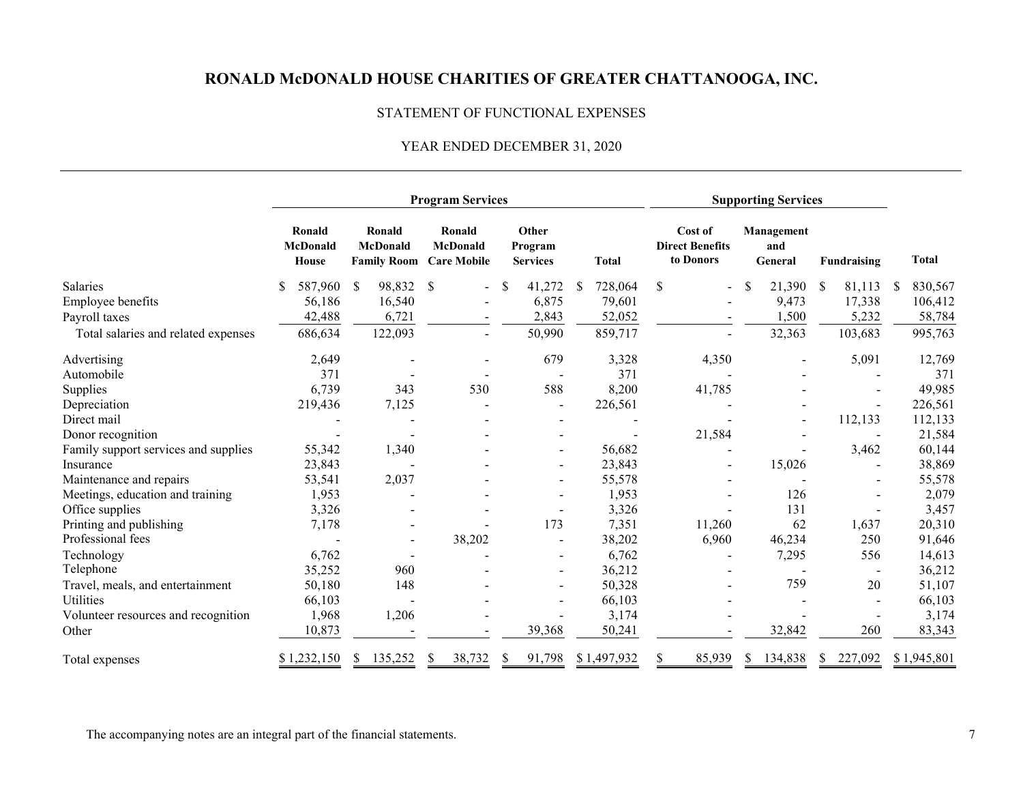### STATEMENT OF FUNCTIONAL EXPENSES

|                                      |                             |                                                 | <b>Program Services</b>                  | <b>Supporting Services</b>          |                          |                                                |                              |              |               |
|--------------------------------------|-----------------------------|-------------------------------------------------|------------------------------------------|-------------------------------------|--------------------------|------------------------------------------------|------------------------------|--------------|---------------|
|                                      | Ronald<br>McDonald<br>House | Ronald<br><b>McDonald</b><br><b>Family Room</b> | Ronald<br>McDonald<br><b>Care Mobile</b> | Other<br>Program<br><b>Services</b> | <b>Total</b>             | Cost of<br><b>Direct Benefits</b><br>to Donors | Management<br>and<br>General | Fundraising  | <b>Total</b>  |
| <b>Salaries</b>                      | 587,960<br>S                | 98,832 \$<br><sup>\$</sup>                      | $\blacksquare$                           | 41,272<br>\$                        | 728,064<br><sup>\$</sup> | \$                                             | 21,390<br>S                  | \$<br>81,113 | 830,567<br>-S |
| Employee benefits                    | 56,186                      | 16,540                                          |                                          | 6,875                               | 79,601                   |                                                | 9,473                        | 17,338       | 106,412       |
| Payroll taxes                        | 42,488                      | 6,721                                           |                                          | 2,843                               | 52,052                   |                                                | 1,500                        | 5,232        | 58,784        |
| Total salaries and related expenses  | 686,634                     | 122,093                                         | $\blacksquare$                           | 50,990                              | 859,717                  |                                                | 32,363                       | 103,683      | 995,763       |
| Advertising                          | 2,649                       |                                                 |                                          | 679                                 | 3,328                    | 4,350                                          |                              | 5,091        | 12,769        |
| Automobile                           | 371                         |                                                 |                                          |                                     | 371                      |                                                |                              |              | 371           |
| Supplies                             | 6,739                       | 343                                             | 530                                      | 588                                 | 8,200                    | 41,785                                         |                              |              | 49,985        |
| Depreciation                         | 219,436                     | 7,125                                           |                                          |                                     | 226,561                  |                                                |                              |              | 226,561       |
| Direct mail                          |                             |                                                 |                                          |                                     |                          |                                                |                              | 112,133      | 112,133       |
| Donor recognition                    |                             |                                                 |                                          |                                     |                          | 21,584                                         |                              |              | 21,584        |
| Family support services and supplies | 55,342                      | 1,340                                           |                                          |                                     | 56,682                   |                                                |                              | 3,462        | 60,144        |
| Insurance                            | 23,843                      |                                                 |                                          |                                     | 23,843                   |                                                | 15,026                       |              | 38,869        |
| Maintenance and repairs              | 53,541                      | 2,037                                           |                                          |                                     | 55,578                   |                                                |                              |              | 55,578        |
| Meetings, education and training     | 1,953                       |                                                 |                                          | $\overline{\phantom{a}}$            | 1,953                    |                                                | 126                          |              | 2,079         |
| Office supplies                      | 3,326                       |                                                 |                                          |                                     | 3,326                    |                                                | 131                          |              | 3,457         |
| Printing and publishing              | 7,178                       |                                                 |                                          | 173                                 | 7,351                    | 11,260                                         | 62                           | 1,637        | 20,310        |
| Professional fees                    |                             | $\overline{\phantom{a}}$                        | 38,202                                   |                                     | 38,202                   | 6,960                                          | 46,234                       | 250          | 91,646        |
| Technology                           | 6,762                       |                                                 |                                          |                                     | 6,762                    |                                                | 7,295                        | 556          | 14,613        |
| Telephone                            | 35,252                      | 960                                             |                                          | $\overline{\phantom{a}}$            | 36,212                   |                                                |                              |              | 36,212        |
| Travel, meals, and entertainment     | 50,180                      | 148                                             |                                          |                                     | 50,328                   |                                                | 759                          | 20           | 51,107        |
| Utilities                            | 66,103                      |                                                 |                                          |                                     | 66,103                   |                                                |                              |              | 66,103        |
| Volunteer resources and recognition  | 1,968                       | 1,206                                           |                                          |                                     | 3,174                    |                                                |                              |              | 3,174         |
| Other                                | 10,873                      |                                                 |                                          | 39,368                              | 50,241                   |                                                | 32,842                       | 260          | 83,343        |
| Total expenses                       | \$1,232,150                 | 135,252<br>S                                    | 38,732<br><b>S</b>                       | 91,798<br>\$                        | \$1,497,932              | 85,939<br>S                                    | 134,838<br>S.                | \$227,092    | \$1,945,801   |

## YEAR ENDED DECEMBER 31, 2020

The accompanying notes are an integral part of the financial statements. 7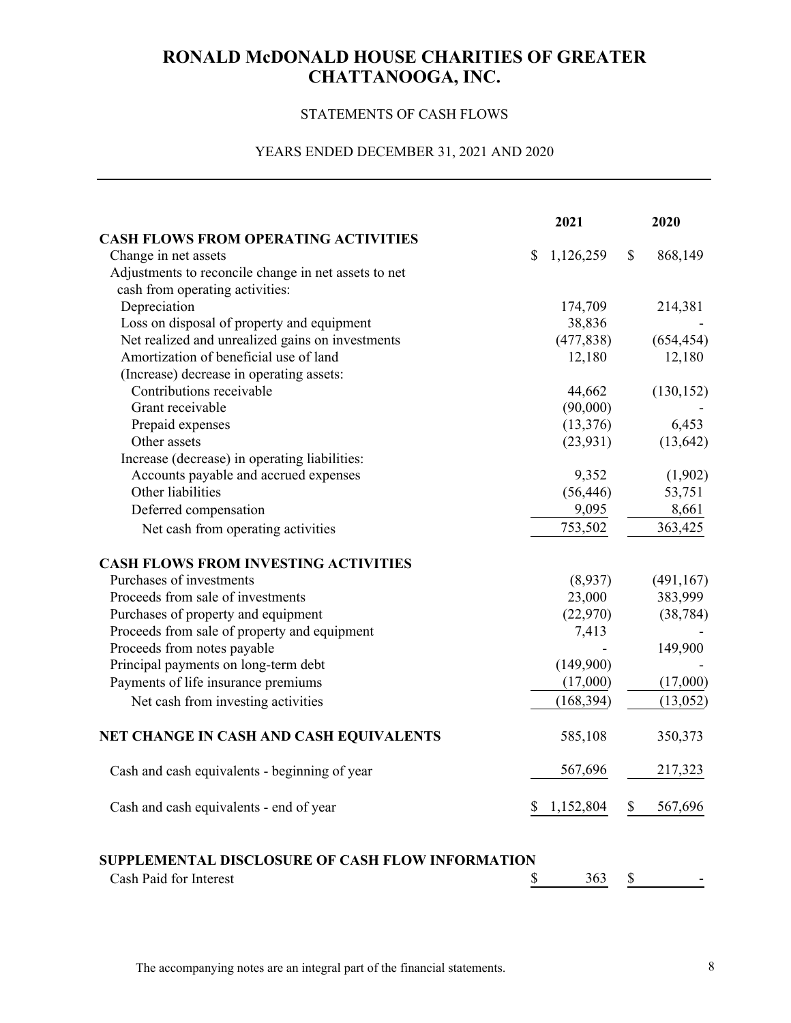## STATEMENTS OF CASH FLOWS

## YEARS ENDED DECEMBER 31, 2021 AND 2020

|                                                                            | 2021            |    | 2020       |
|----------------------------------------------------------------------------|-----------------|----|------------|
| <b>CASH FLOWS FROM OPERATING ACTIVITIES</b>                                |                 |    |            |
| Change in net assets                                                       | \$<br>1,126,259 | \$ | 868,149    |
| Adjustments to reconcile change in net assets to net                       |                 |    |            |
| cash from operating activities:                                            |                 |    |            |
| Depreciation                                                               | 174,709         |    | 214,381    |
| Loss on disposal of property and equipment                                 | 38,836          |    |            |
| Net realized and unrealized gains on investments                           | (477, 838)      |    | (654, 454) |
| Amortization of beneficial use of land                                     | 12,180          |    | 12,180     |
| (Increase) decrease in operating assets:                                   |                 |    |            |
| Contributions receivable                                                   | 44,662          |    | (130, 152) |
| Grant receivable                                                           | (90,000)        |    |            |
| Prepaid expenses                                                           | (13,376)        |    | 6,453      |
| Other assets                                                               | (23, 931)       |    | (13, 642)  |
| Increase (decrease) in operating liabilities:                              |                 |    |            |
| Accounts payable and accrued expenses                                      | 9,352           |    | (1,902)    |
| Other liabilities                                                          | (56, 446)       |    | 53,751     |
| Deferred compensation                                                      | 9,095           |    | 8,661      |
| Net cash from operating activities                                         | 753,502         |    | 363,425    |
| <b>CASH FLOWS FROM INVESTING ACTIVITIES</b>                                |                 |    |            |
| Purchases of investments                                                   | (8,937)         |    | (491, 167) |
| Proceeds from sale of investments                                          | 23,000          |    | 383,999    |
| Purchases of property and equipment                                        | (22,970)        |    | (38, 784)  |
| Proceeds from sale of property and equipment                               | 7,413           |    |            |
| Proceeds from notes payable                                                |                 |    | 149,900    |
| Principal payments on long-term debt                                       | (149,900)       |    |            |
| Payments of life insurance premiums                                        | (17,000)        |    | (17,000)   |
| Net cash from investing activities                                         | (168, 394)      |    | (13, 052)  |
| NET CHANGE IN CASH AND CASH EQUIVALENTS                                    | 585,108         |    | 350,373    |
| Cash and cash equivalents - beginning of year                              | 567,696         |    | 217,323    |
| Cash and cash equivalents - end of year                                    | 1,152,804       | S. | 567,696    |
| SUPPLEMENTAL DISCLOSURE OF CASH FLOW INFORMATION<br>Cash Paid for Interest | \$<br>363       | \$ |            |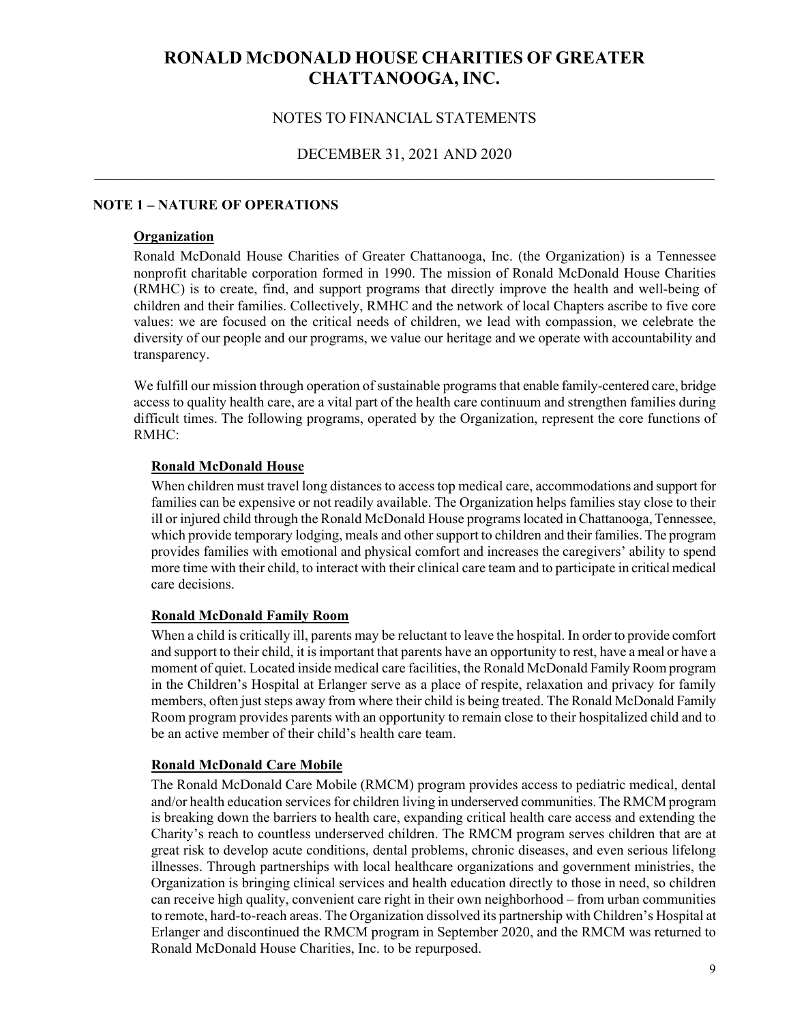## NOTES TO FINANCIAL STATEMENTS

### DECEMBER 31, 2021 AND 2020

#### **NOTE 1 – NATURE OF OPERATIONS**

#### **Organization**

Ronald McDonald House Charities of Greater Chattanooga, Inc. (the Organization) is a Tennessee nonprofit charitable corporation formed in 1990. The mission of Ronald McDonald House Charities (RMHC) is to create, find, and support programs that directly improve the health and well-being of children and their families. Collectively, RMHC and the network of local Chapters ascribe to five core values: we are focused on the critical needs of children, we lead with compassion, we celebrate the diversity of our people and our programs, we value our heritage and we operate with accountability and transparency.

We fulfill our mission through operation of sustainable programs that enable family-centered care, bridge access to quality health care, are a vital part of the health care continuum and strengthen families during difficult times. The following programs, operated by the Organization, represent the core functions of RMHC:

#### **Ronald McDonald House**

When children must travel long distances to access top medical care, accommodations and support for families can be expensive or not readily available. The Organization helps families stay close to their ill or injured child through the Ronald McDonald House programslocated in Chattanooga, Tennessee, which provide temporary lodging, meals and other support to children and their families. The program provides families with emotional and physical comfort and increases the caregivers' ability to spend more time with their child, to interact with their clinical care team and to participate in critical medical care decisions.

#### **Ronald McDonald Family Room**

When a child is critically ill, parents may be reluctant to leave the hospital. In order to provide comfort and support to their child, it is important that parents have an opportunity to rest, have a meal or have a moment of quiet. Located inside medical care facilities, the Ronald McDonald Family Room program in the Children's Hospital at Erlanger serve as a place of respite, relaxation and privacy for family members, often just steps away from where their child is being treated. The Ronald McDonald Family Room program provides parents with an opportunity to remain close to their hospitalized child and to be an active member of their child's health care team.

#### **Ronald McDonald Care Mobile**

The Ronald McDonald Care Mobile (RMCM) program provides access to pediatric medical, dental and/or health education services for children living in underserved communities. The RMCM program is breaking down the barriers to health care, expanding critical health care access and extending the Charity's reach to countless underserved children. The RMCM program serves children that are at great risk to develop acute conditions, dental problems, chronic diseases, and even serious lifelong illnesses. Through partnerships with local healthcare organizations and government ministries, the Organization is bringing clinical services and health education directly to those in need, so children can receive high quality, convenient care right in their own neighborhood – from urban communities to remote, hard-to-reach areas. The Organization dissolved its partnership with Children's Hospital at Erlanger and discontinued the RMCM program in September 2020, and the RMCM was returned to Ronald McDonald House Charities, Inc. to be repurposed.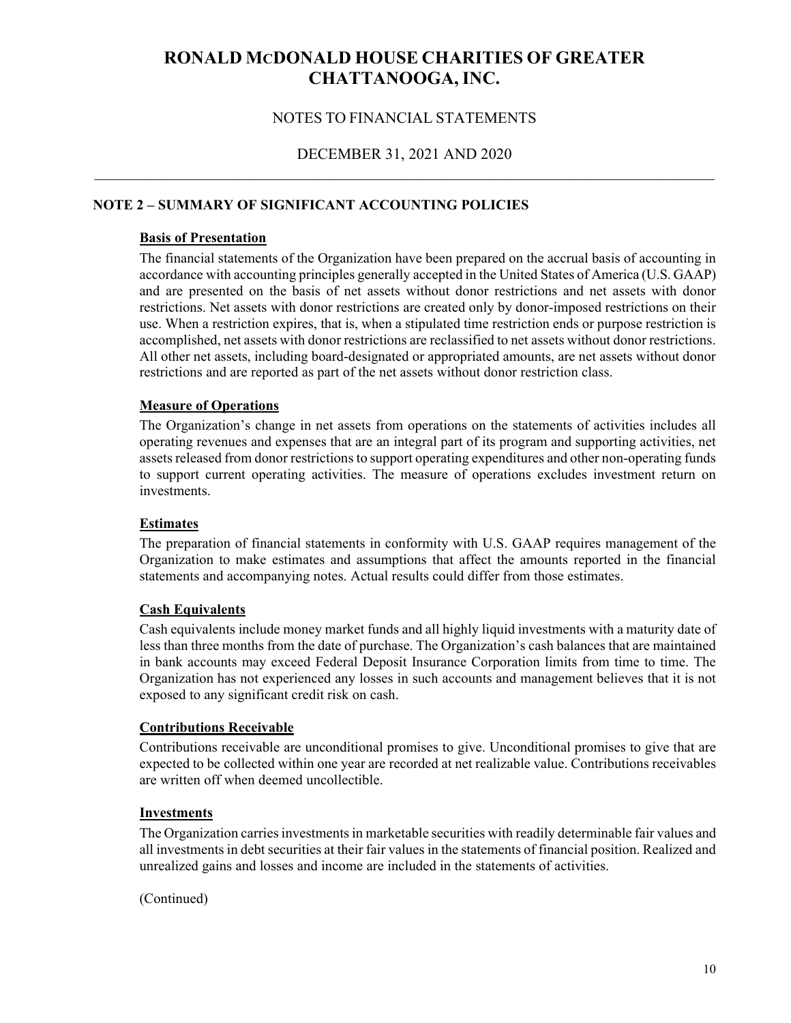## NOTES TO FINANCIAL STATEMENTS

## DECEMBER 31, 2021 AND 2020

## **NOTE 2 – SUMMARY OF SIGNIFICANT ACCOUNTING POLICIES**

### **Basis of Presentation**

The financial statements of the Organization have been prepared on the accrual basis of accounting in accordance with accounting principles generally accepted in the United States of America (U.S. GAAP) and are presented on the basis of net assets without donor restrictions and net assets with donor restrictions. Net assets with donor restrictions are created only by donor-imposed restrictions on their use. When a restriction expires, that is, when a stipulated time restriction ends or purpose restriction is accomplished, net assets with donor restrictions are reclassified to net assets without donor restrictions. All other net assets, including board-designated or appropriated amounts, are net assets without donor restrictions and are reported as part of the net assets without donor restriction class.

### **Measure of Operations**

The Organization's change in net assets from operations on the statements of activities includes all operating revenues and expenses that are an integral part of its program and supporting activities, net assets released from donor restrictions to support operating expenditures and other non-operating funds to support current operating activities. The measure of operations excludes investment return on investments.

#### **Estimates**

The preparation of financial statements in conformity with U.S. GAAP requires management of the Organization to make estimates and assumptions that affect the amounts reported in the financial statements and accompanying notes. Actual results could differ from those estimates.

#### **Cash Equivalents**

Cash equivalents include money market funds and all highly liquid investments with a maturity date of less than three months from the date of purchase. The Organization's cash balances that are maintained in bank accounts may exceed Federal Deposit Insurance Corporation limits from time to time. The Organization has not experienced any losses in such accounts and management believes that it is not exposed to any significant credit risk on cash.

#### **Contributions Receivable**

Contributions receivable are unconditional promises to give. Unconditional promises to give that are expected to be collected within one year are recorded at net realizable value. Contributions receivables are written off when deemed uncollectible.

#### **Investments**

The Organization carries investments in marketable securities with readily determinable fair values and all investments in debt securities at their fair values in the statements of financial position. Realized and unrealized gains and losses and income are included in the statements of activities.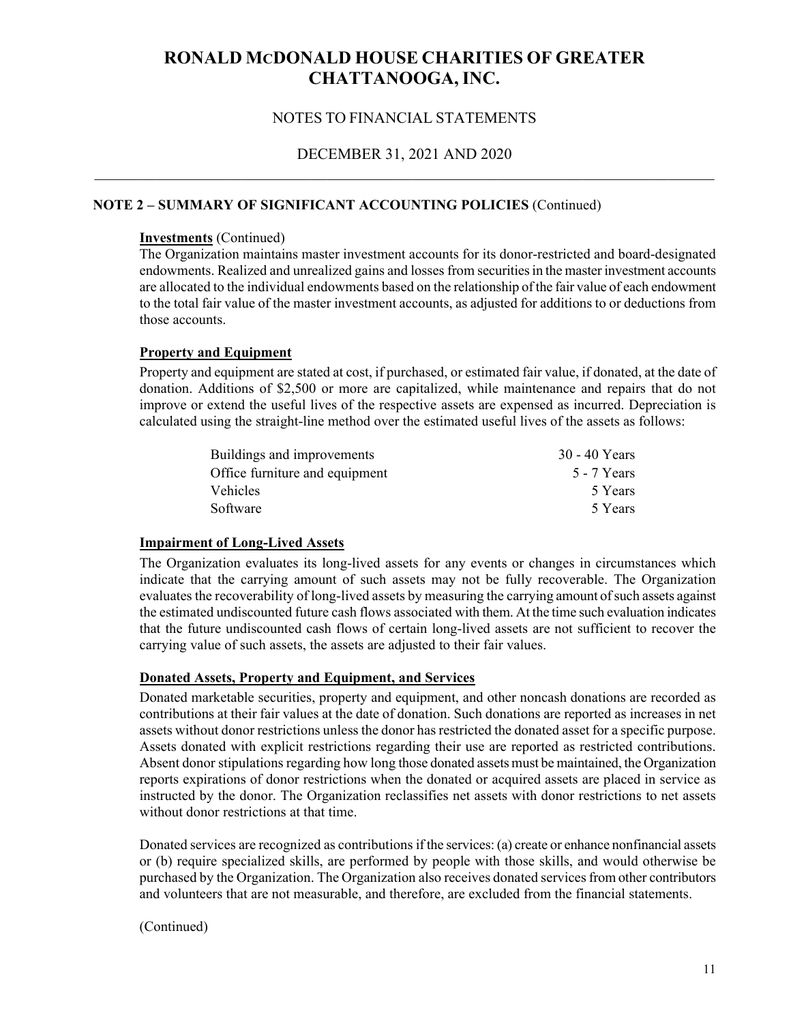## NOTES TO FINANCIAL STATEMENTS

## DECEMBER 31, 2021 AND 2020

### **NOTE 2 – SUMMARY OF SIGNIFICANT ACCOUNTING POLICIES** (Continued)

#### **Investments** (Continued)

The Organization maintains master investment accounts for its donor-restricted and board-designated endowments. Realized and unrealized gains and losses from securities in the master investment accounts are allocated to the individual endowments based on the relationship of the fair value of each endowment to the total fair value of the master investment accounts, as adjusted for additions to or deductions from those accounts.

#### **Property and Equipment**

Property and equipment are stated at cost, if purchased, or estimated fair value, if donated, at the date of donation. Additions of \$2,500 or more are capitalized, while maintenance and repairs that do not improve or extend the useful lives of the respective assets are expensed as incurred. Depreciation is calculated using the straight-line method over the estimated useful lives of the assets as follows:

| Buildings and improvements     | $30 - 40$ Years |
|--------------------------------|-----------------|
| Office furniture and equipment | 5 - 7 Years     |
| <b>Vehicles</b>                | 5 Years         |
| Software                       | 5 Years         |

#### **Impairment of Long-Lived Assets**

The Organization evaluates its long-lived assets for any events or changes in circumstances which indicate that the carrying amount of such assets may not be fully recoverable. The Organization evaluates the recoverability of long-lived assets by measuring the carrying amount of such assets against the estimated undiscounted future cash flows associated with them. At the time such evaluation indicates that the future undiscounted cash flows of certain long-lived assets are not sufficient to recover the carrying value of such assets, the assets are adjusted to their fair values.

#### **Donated Assets, Property and Equipment, and Services**

Donated marketable securities, property and equipment, and other noncash donations are recorded as contributions at their fair values at the date of donation. Such donations are reported as increases in net assets without donor restrictions unless the donor has restricted the donated asset for a specific purpose. Assets donated with explicit restrictions regarding their use are reported as restricted contributions. Absent donor stipulations regarding how long those donated assets must be maintained, the Organization reports expirations of donor restrictions when the donated or acquired assets are placed in service as instructed by the donor. The Organization reclassifies net assets with donor restrictions to net assets without donor restrictions at that time.

Donated services are recognized as contributions if the services: (a) create or enhance nonfinancial assets or (b) require specialized skills, are performed by people with those skills, and would otherwise be purchased by the Organization. The Organization also receives donated services from other contributors and volunteers that are not measurable, and therefore, are excluded from the financial statements.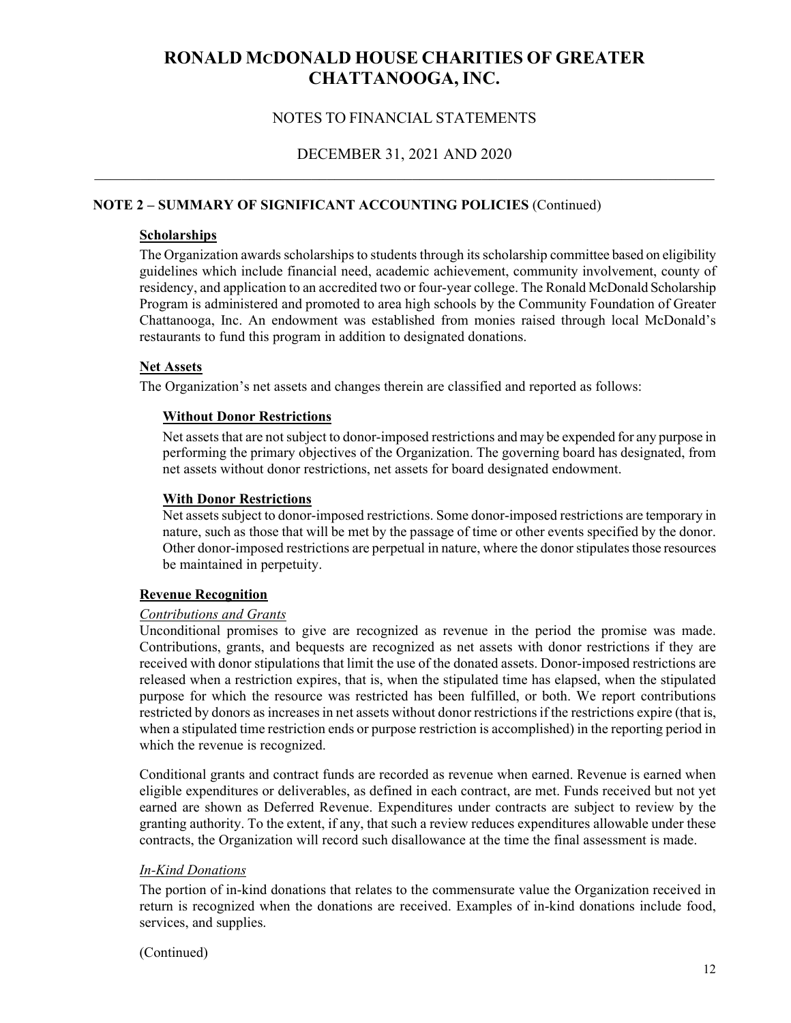## NOTES TO FINANCIAL STATEMENTS

## DECEMBER 31, 2021 AND 2020

### **NOTE 2 – SUMMARY OF SIGNIFICANT ACCOUNTING POLICIES** (Continued)

#### **Scholarships**

The Organization awards scholarships to students through itsscholarship committee based on eligibility guidelines which include financial need, academic achievement, community involvement, county of residency, and application to an accredited two or four-year college. The Ronald McDonald Scholarship Program is administered and promoted to area high schools by the Community Foundation of Greater Chattanooga, Inc. An endowment was established from monies raised through local McDonald's restaurants to fund this program in addition to designated donations.

### **Net Assets**

The Organization's net assets and changes therein are classified and reported as follows:

#### **Without Donor Restrictions**

Net assets that are not subject to donor-imposed restrictions and may be expended for any purpose in performing the primary objectives of the Organization. The governing board has designated, from net assets without donor restrictions, net assets for board designated endowment.

#### **With Donor Restrictions**

Net assets subject to donor-imposed restrictions. Some donor-imposed restrictions are temporary in nature, such as those that will be met by the passage of time or other events specified by the donor. Other donor-imposed restrictions are perpetual in nature, where the donor stipulates those resources be maintained in perpetuity.

#### **Revenue Recognition**

#### *Contributions and Grants*

Unconditional promises to give are recognized as revenue in the period the promise was made. Contributions, grants, and bequests are recognized as net assets with donor restrictions if they are received with donor stipulations that limit the use of the donated assets. Donor-imposed restrictions are released when a restriction expires, that is, when the stipulated time has elapsed, when the stipulated purpose for which the resource was restricted has been fulfilled, or both. We report contributions restricted by donors as increases in net assets without donor restrictions if the restrictions expire (that is, when a stipulated time restriction ends or purpose restriction is accomplished) in the reporting period in which the revenue is recognized.

Conditional grants and contract funds are recorded as revenue when earned. Revenue is earned when eligible expenditures or deliverables, as defined in each contract, are met. Funds received but not yet earned are shown as Deferred Revenue. Expenditures under contracts are subject to review by the granting authority. To the extent, if any, that such a review reduces expenditures allowable under these contracts, the Organization will record such disallowance at the time the final assessment is made.

#### *In-Kind Donations*

The portion of in-kind donations that relates to the commensurate value the Organization received in return is recognized when the donations are received. Examples of in-kind donations include food, services, and supplies.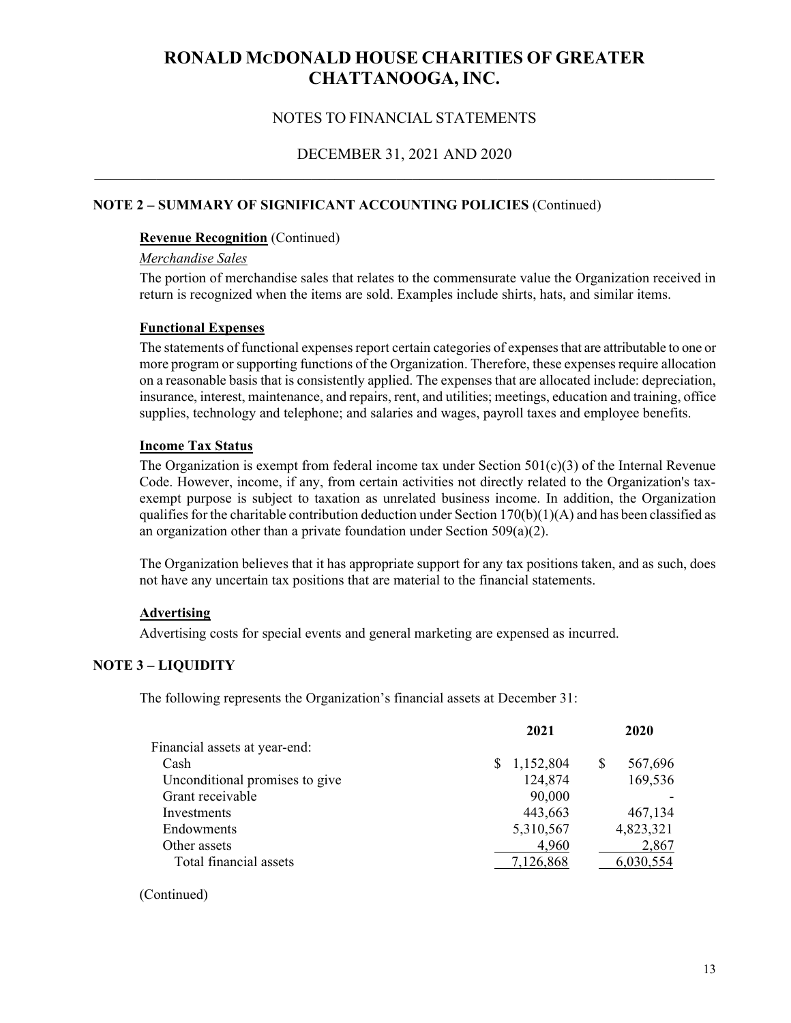## NOTES TO FINANCIAL STATEMENTS

## DECEMBER 31, 2021 AND 2020

### **NOTE 2 – SUMMARY OF SIGNIFICANT ACCOUNTING POLICIES** (Continued)

#### **Revenue Recognition** (Continued)

#### *Merchandise Sales*

The portion of merchandise sales that relates to the commensurate value the Organization received in return is recognized when the items are sold. Examples include shirts, hats, and similar items.

#### **Functional Expenses**

The statements of functional expenses report certain categories of expenses that are attributable to one or more program or supporting functions of the Organization. Therefore, these expenses require allocation on a reasonable basis that is consistently applied. The expenses that are allocated include: depreciation, insurance, interest, maintenance, and repairs, rent, and utilities; meetings, education and training, office supplies, technology and telephone; and salaries and wages, payroll taxes and employee benefits.

#### **Income Tax Status**

The Organization is exempt from federal income tax under Section  $501(c)(3)$  of the Internal Revenue Code. However, income, if any, from certain activities not directly related to the Organization's taxexempt purpose is subject to taxation as unrelated business income. In addition, the Organization qualifies for the charitable contribution deduction under Section  $170(b)(1)(A)$  and has been classified as an organization other than a private foundation under Section 509(a)(2).

The Organization believes that it has appropriate support for any tax positions taken, and as such, does not have any uncertain tax positions that are material to the financial statements.

#### **Advertising**

Advertising costs for special events and general marketing are expensed as incurred.

#### **NOTE 3 – LIQUIDITY**

The following represents the Organization's financial assets at December 31:

|                                | 2021            | 2020         |
|--------------------------------|-----------------|--------------|
| Financial assets at year-end:  |                 |              |
| Cash                           | 1,152,804<br>S. | 567,696<br>S |
| Unconditional promises to give | 124,874         | 169,536      |
| Grant receivable               | 90,000          |              |
| Investments                    | 443,663         | 467,134      |
| Endowments                     | 5,310,567       | 4,823,321    |
| Other assets                   | 4,960           | 2,867        |
| Total financial assets         | 7.126.868       | 6,030,554    |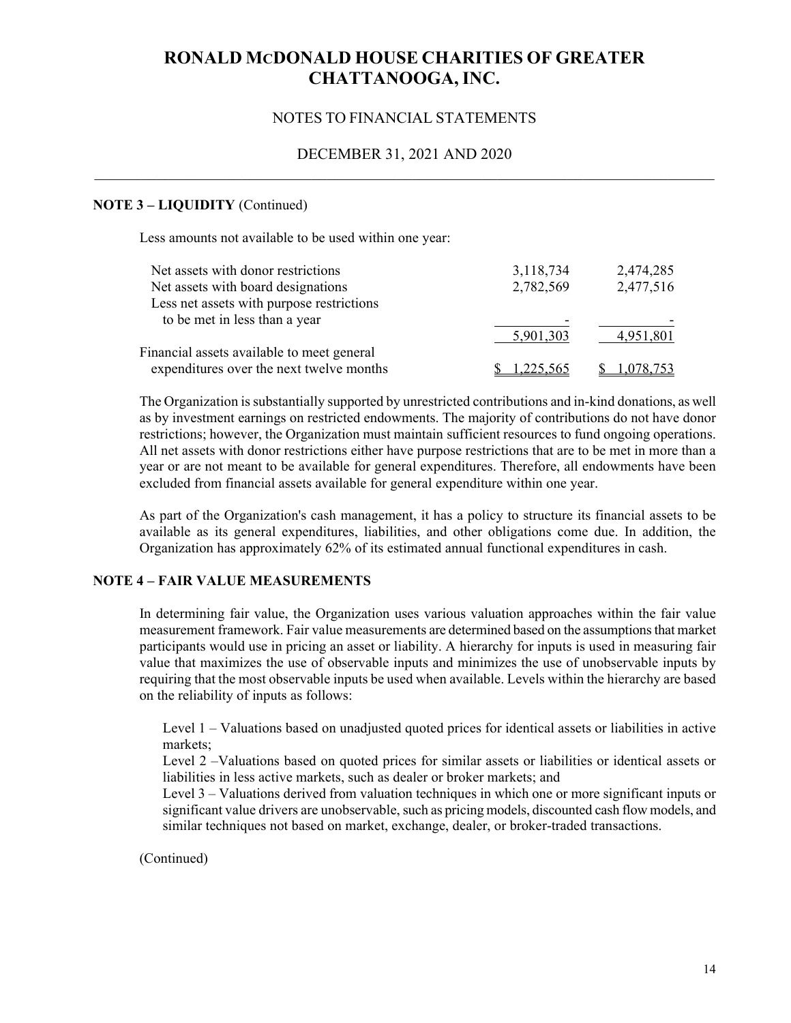## NOTES TO FINANCIAL STATEMENTS

## DECEMBER 31, 2021 AND 2020

### **NOTE 3 – LIQUIDITY** (Continued)

Less amounts not available to be used within one year:

| Net assets with donor restrictions         | 3,118,734 | 2,474,285 |
|--------------------------------------------|-----------|-----------|
| Net assets with board designations         | 2,782,569 | 2,477,516 |
| Less net assets with purpose restrictions  |           |           |
| to be met in less than a year              |           |           |
|                                            | 5.901.303 | 4.951.801 |
| Financial assets available to meet general |           |           |
| expenditures over the next twelve months   | 1,225,565 | 1,078,753 |

The Organization is substantially supported by unrestricted contributions and in-kind donations, as well as by investment earnings on restricted endowments. The majority of contributions do not have donor restrictions; however, the Organization must maintain sufficient resources to fund ongoing operations. All net assets with donor restrictions either have purpose restrictions that are to be met in more than a year or are not meant to be available for general expenditures. Therefore, all endowments have been excluded from financial assets available for general expenditure within one year.

As part of the Organization's cash management, it has a policy to structure its financial assets to be available as its general expenditures, liabilities, and other obligations come due. In addition, the Organization has approximately 62% of its estimated annual functional expenditures in cash.

#### **NOTE 4 – FAIR VALUE MEASUREMENTS**

In determining fair value, the Organization uses various valuation approaches within the fair value measurement framework. Fair value measurements are determined based on the assumptions that market participants would use in pricing an asset or liability. A hierarchy for inputs is used in measuring fair value that maximizes the use of observable inputs and minimizes the use of unobservable inputs by requiring that the most observable inputs be used when available. Levels within the hierarchy are based on the reliability of inputs as follows:

Level 1 – Valuations based on unadjusted quoted prices for identical assets or liabilities in active markets;

Level 2 –Valuations based on quoted prices for similar assets or liabilities or identical assets or liabilities in less active markets, such as dealer or broker markets; and

Level 3 – Valuations derived from valuation techniques in which one or more significant inputs or significant value drivers are unobservable, such as pricing models, discounted cash flow models, and similar techniques not based on market, exchange, dealer, or broker-traded transactions.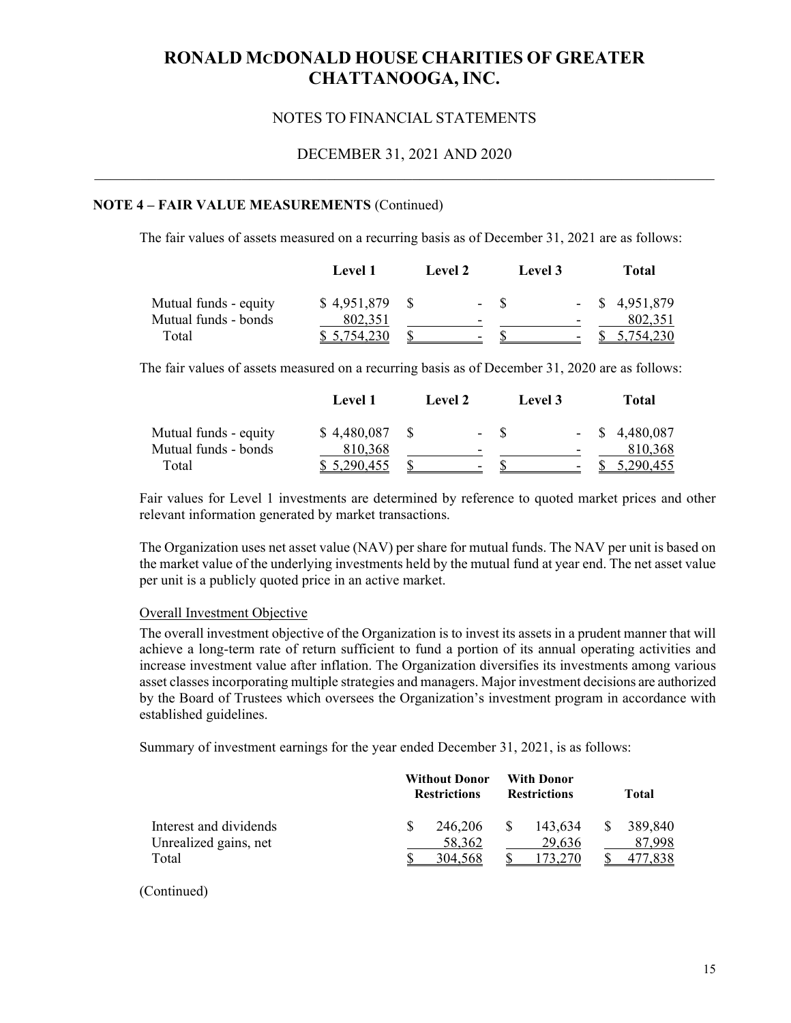### NOTES TO FINANCIAL STATEMENTS

### DECEMBER 31, 2021 AND 2020

#### **NOTE 4 – FAIR VALUE MEASUREMENTS** (Continued)

The fair values of assets measured on a recurring basis as of December 31, 2021 are as follows:

|                       | Level 1     | Level 2 | Level 3           |  | Total            |
|-----------------------|-------------|---------|-------------------|--|------------------|
| Mutual funds - equity | \$4,951,879 |         | - 8<br>$\sim$ $-$ |  | $-$ \$ 4,951,879 |
| Mutual funds - bonds  | 802,351     | -       |                   |  | 802.351          |
| Total                 | 5.754.230   | -       |                   |  | 5,754,230        |

The fair values of assets measured on a recurring basis as of December 31, 2020 are as follows:

|                       | Level 1      | Level 2 |       | Level 3 |  | Total            |
|-----------------------|--------------|---------|-------|---------|--|------------------|
| Mutual funds - equity | \$4,480,087  |         | $-$ S |         |  | $-$ \$ 4,480,087 |
| Mutual funds - bonds  | 810.368      | -       |       |         |  | 810,368          |
| Total                 | \$ 5,290,455 | -       |       |         |  | 5,290,455        |

Fair values for Level 1 investments are determined by reference to quoted market prices and other relevant information generated by market transactions.

The Organization uses net asset value (NAV) per share for mutual funds. The NAV per unit is based on the market value of the underlying investments held by the mutual fund at year end. The net asset value per unit is a publicly quoted price in an active market.

#### Overall Investment Objective

The overall investment objective of the Organization is to invest its assets in a prudent manner that will achieve a long-term rate of return sufficient to fund a portion of its annual operating activities and increase investment value after inflation. The Organization diversifies its investments among various asset classes incorporating multiple strategies and managers. Major investment decisions are authorized by the Board of Trustees which oversees the Organization's investment program in accordance with established guidelines.

Summary of investment earnings for the year ended December 31, 2021, is as follows:

|                                                 | <b>Without Donor</b><br><b>Restrictions</b> |                   | <b>With Donor</b><br><b>Restrictions</b> |                   | <b>Total</b> |                   |
|-------------------------------------------------|---------------------------------------------|-------------------|------------------------------------------|-------------------|--------------|-------------------|
| Interest and dividends<br>Unrealized gains, net |                                             | 246,206<br>58,362 | <sup>S</sup>                             | 143,634<br>29.636 | <sup>S</sup> | 389,840<br>87.998 |
| Total                                           |                                             | 304.568           |                                          | 173,270           |              | 77.838            |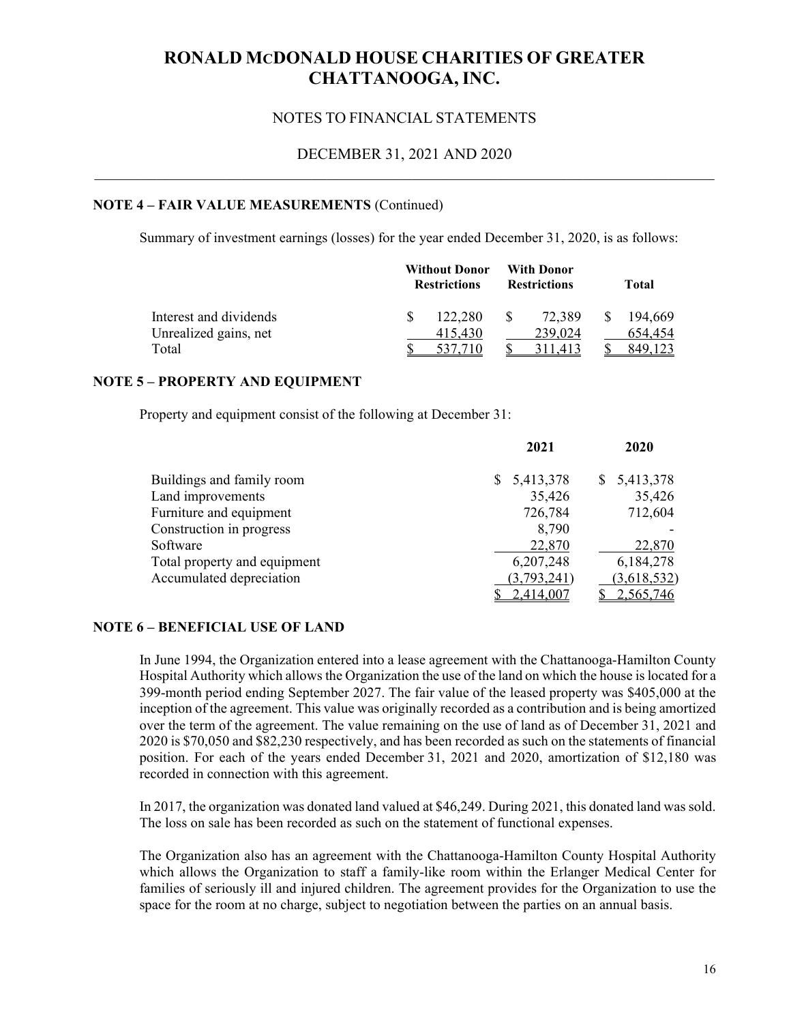### NOTES TO FINANCIAL STATEMENTS

### DECEMBER 31, 2021 AND 2020

#### **NOTE 4 – FAIR VALUE MEASUREMENTS** (Continued)

Summary of investment earnings (losses) for the year ended December 31, 2020, is as follows:

|                                                 | Without Donor<br><b>Restrictions</b> |                    | <b>With Donor</b><br><b>Restrictions</b> |                   | Total |                    |
|-------------------------------------------------|--------------------------------------|--------------------|------------------------------------------|-------------------|-------|--------------------|
| Interest and dividends<br>Unrealized gains, net |                                      | 122,280<br>415,430 | -SS                                      | 72,389<br>239,024 | S.    | 194,669<br>654.454 |
| Total                                           |                                      |                    |                                          | 311.413           |       |                    |

#### **NOTE 5 – PROPERTY AND EQUIPMENT**

Property and equipment consist of the following at December 31:

|                              | 2021        | 2020        |
|------------------------------|-------------|-------------|
| Buildings and family room    | 5,413,378   | \$5,413,378 |
| Land improvements            | 35,426      | 35,426      |
| Furniture and equipment      | 726,784     | 712,604     |
| Construction in progress     | 8,790       |             |
| Software                     | 22,870      | 22,870      |
| Total property and equipment | 6,207,248   | 6,184,278   |
| Accumulated depreciation     | (3,793,241) | (3,618,532) |
|                              | 2,414,007   | 2,565,746   |

#### **NOTE 6 – BENEFICIAL USE OF LAND**

In June 1994, the Organization entered into a lease agreement with the Chattanooga-Hamilton County Hospital Authority which allows the Organization the use of the land on which the house is located for a 399-month period ending September 2027. The fair value of the leased property was \$405,000 at the inception of the agreement. This value was originally recorded as a contribution and is being amortized over the term of the agreement. The value remaining on the use of land as of December 31, 2021 and 2020 is \$70,050 and \$82,230 respectively, and has been recorded as such on the statements of financial position. For each of the years ended December 31, 2021 and 2020, amortization of \$12,180 was recorded in connection with this agreement.

In 2017, the organization was donated land valued at \$46,249. During 2021, this donated land was sold. The loss on sale has been recorded as such on the statement of functional expenses.

The Organization also has an agreement with the Chattanooga-Hamilton County Hospital Authority which allows the Organization to staff a family-like room within the Erlanger Medical Center for families of seriously ill and injured children. The agreement provides for the Organization to use the space for the room at no charge, subject to negotiation between the parties on an annual basis.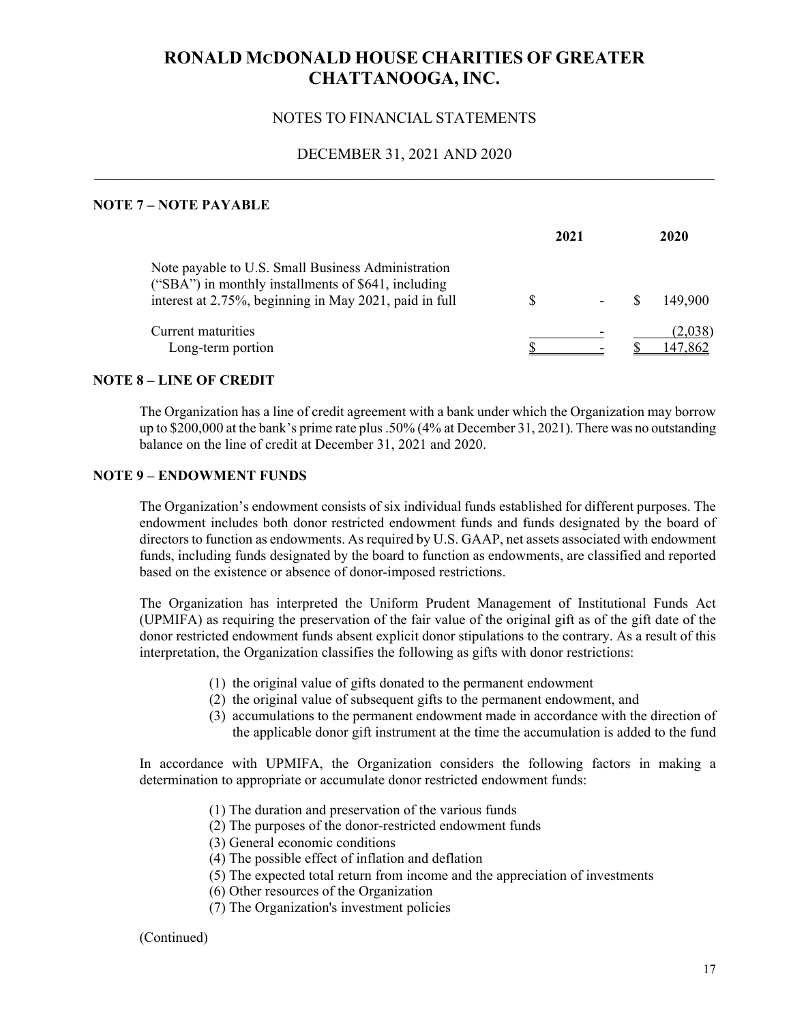### NOTES TO FINANCIAL STATEMENTS

### DECEMBER 31, 2021 AND 2020

#### **NOTE 7 – NOTE PAYABLE**

|                                                                                                                                                                     | 2021 |    | 2020    |
|---------------------------------------------------------------------------------------------------------------------------------------------------------------------|------|----|---------|
| Note payable to U.S. Small Business Administration<br>("SBA") in monthly installments of \$641, including<br>interest at 2.75%, beginning in May 2021, paid in full | \$.  | -8 | 149.900 |
| Current maturities<br>Long-term portion                                                                                                                             |      |    | (2.038) |

#### **NOTE 8 – LINE OF CREDIT**

The Organization has a line of credit agreement with a bank under which the Organization may borrow up to \$200,000 at the bank's prime rate plus .50% (4% at December 31, 2021). There was no outstanding balance on the line of credit at December 31, 2021 and 2020.

### **NOTE 9 – ENDOWMENT FUNDS**

The Organization's endowment consists of six individual funds established for different purposes. The endowment includes both donor restricted endowment funds and funds designated by the board of directors to function as endowments. As required by U.S. GAAP, net assets associated with endowment funds, including funds designated by the board to function as endowments, are classified and reported based on the existence or absence of donor-imposed restrictions.

The Organization has interpreted the Uniform Prudent Management of Institutional Funds Act (UPMIFA) as requiring the preservation of the fair value of the original gift as of the gift date of the donor restricted endowment funds absent explicit donor stipulations to the contrary. As a result of this interpretation, the Organization classifies the following as gifts with donor restrictions:

- (1) the original value of gifts donated to the permanent endowment
- (2) the original value of subsequent gifts to the permanent endowment, and
- (3) accumulations to the permanent endowment made in accordance with the direction of the applicable donor gift instrument at the time the accumulation is added to the fund

In accordance with UPMIFA, the Organization considers the following factors in making a determination to appropriate or accumulate donor restricted endowment funds:

- (1) The duration and preservation of the various funds
- (2) The purposes of the donor-restricted endowment funds
- (3) General economic conditions
- (4) The possible effect of inflation and deflation
- (5) The expected total return from income and the appreciation of investments
- (6) Other resources of the Organization
- (7) The Organization's investment policies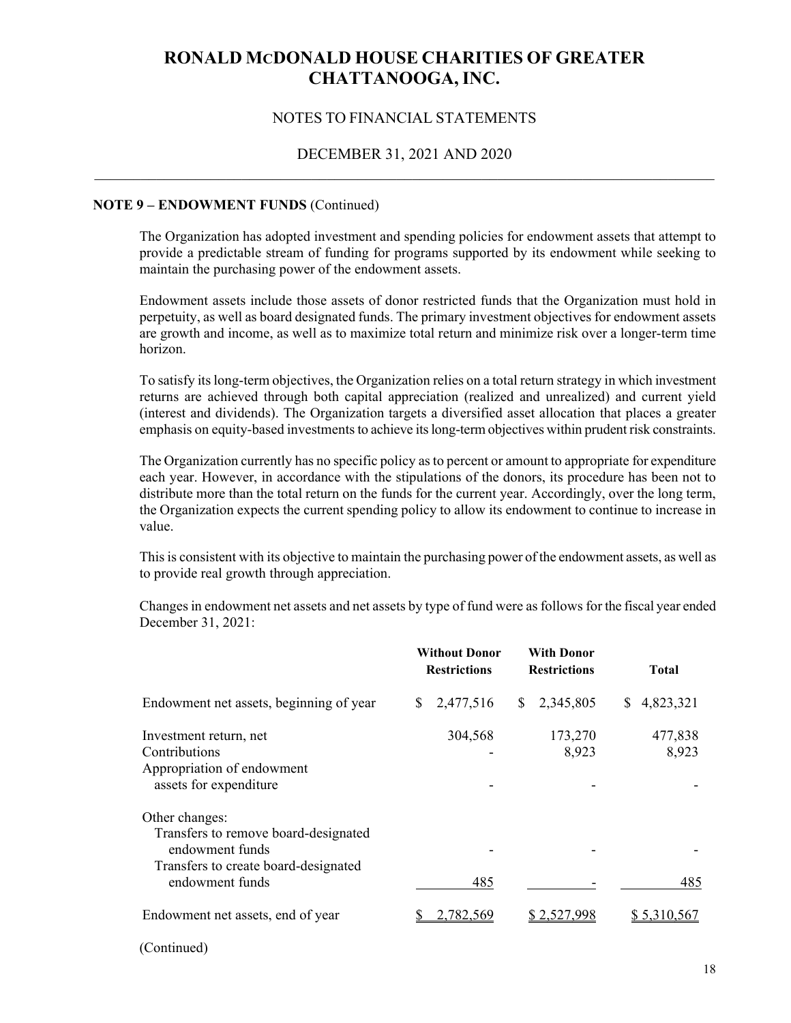## NOTES TO FINANCIAL STATEMENTS

### DECEMBER 31, 2021 AND 2020

#### **NOTE 9 – ENDOWMENT FUNDS** (Continued)

The Organization has adopted investment and spending policies for endowment assets that attempt to provide a predictable stream of funding for programs supported by its endowment while seeking to maintain the purchasing power of the endowment assets.

Endowment assets include those assets of donor restricted funds that the Organization must hold in perpetuity, as well as board designated funds. The primary investment objectives for endowment assets are growth and income, as well as to maximize total return and minimize risk over a longer-term time horizon.

To satisfy its long-term objectives, the Organization relies on a total return strategy in which investment returns are achieved through both capital appreciation (realized and unrealized) and current yield (interest and dividends). The Organization targets a diversified asset allocation that places a greater emphasis on equity-based investments to achieve itslong-term objectives within prudent risk constraints.

The Organization currently has no specific policy as to percent or amount to appropriate for expenditure each year. However, in accordance with the stipulations of the donors, its procedure has been not to distribute more than the total return on the funds for the current year. Accordingly, over the long term, the Organization expects the current spending policy to allow its endowment to continue to increase in value.

This is consistent with its objective to maintain the purchasing power of the endowment assets, as well as to provide real growth through appreciation.

Changes in endowment net assets and net assets by type of fund were as follows for the fiscal year ended December 31, 2021:

|                                                         | <b>Without Donor</b><br><b>Restrictions</b> | <b>With Donor</b><br><b>Restrictions</b> | <b>Total</b>    |
|---------------------------------------------------------|---------------------------------------------|------------------------------------------|-----------------|
| Endowment net assets, beginning of year                 | 2,477,516<br><sup>S</sup>                   | 2,345,805<br>\$                          | 4,823,321<br>\$ |
| Investment return, net                                  | 304,568                                     | 173,270                                  | 477,838         |
| Contributions                                           |                                             | 8,923                                    | 8,923           |
| Appropriation of endowment<br>assets for expenditure    |                                             |                                          |                 |
| Other changes:                                          |                                             |                                          |                 |
| Transfers to remove board-designated<br>endowment funds |                                             |                                          |                 |
| Transfers to create board-designated                    |                                             |                                          |                 |
| endowment funds                                         | 485                                         |                                          | 485             |
| Endowment net assets, end of year                       | 2,782,569                                   | \$2,527,998                              | \$5,310,567     |
| (Continued)                                             |                                             |                                          |                 |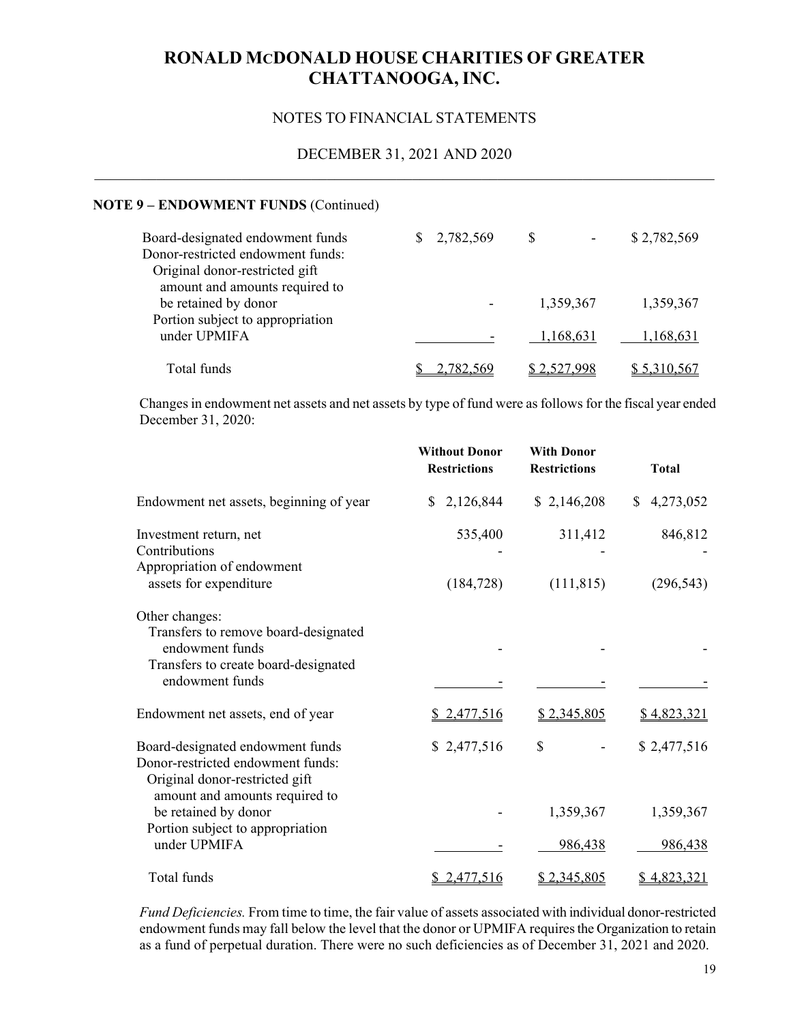## NOTES TO FINANCIAL STATEMENTS

### DECEMBER 31, 2021 AND 2020

### **NOTE 9 – ENDOWMENT FUNDS** (Continued)

| Board-designated endowment funds                                                                      | 2,782,569 | \$<br>$\qquad \qquad \blacksquare$ | \$2,782,569 |
|-------------------------------------------------------------------------------------------------------|-----------|------------------------------------|-------------|
| Donor-restricted endowment funds:<br>Original donor-restricted gift<br>amount and amounts required to |           |                                    |             |
| be retained by donor                                                                                  |           | 1,359,367                          | 1,359,367   |
| Portion subject to appropriation<br>under UPMIFA                                                      |           | 1,168,631                          | 1,168,631   |
| Total funds                                                                                           | 2.782.569 | 2,527.998                          | \$5,310,567 |

Changes in endowment net assets and net assets by type of fund were as follows for the fiscal year ended December 31, 2020:

|                                                                                                                                      | <b>Without Donor</b><br><b>Restrictions</b> | <b>With Donor</b><br><b>Restrictions</b> | <b>Total</b>              |
|--------------------------------------------------------------------------------------------------------------------------------------|---------------------------------------------|------------------------------------------|---------------------------|
| Endowment net assets, beginning of year                                                                                              | 2,126,844<br>S.                             | \$2,146,208                              | 4,273,052<br>$\mathbb{S}$ |
| Investment return, net<br>Contributions                                                                                              | 535,400                                     | 311,412                                  | 846,812                   |
| Appropriation of endowment<br>assets for expenditure                                                                                 | (184, 728)                                  | (111, 815)                               | (296, 543)                |
| Other changes:<br>Transfers to remove board-designated<br>endowment funds<br>Transfers to create board-designated<br>endowment funds |                                             |                                          |                           |
| Endowment net assets, end of year                                                                                                    | \$2,477,516                                 | \$2,345,805                              | \$4,823,321               |
| Board-designated endowment funds<br>Donor-restricted endowment funds:<br>Original donor-restricted gift                              | \$2,477,516                                 | \$                                       | \$2,477,516               |
| amount and amounts required to<br>be retained by donor                                                                               |                                             | 1,359,367                                | 1,359,367                 |
| Portion subject to appropriation<br>under UPMIFA                                                                                     |                                             | 986,438                                  | 986,438                   |
| Total funds                                                                                                                          | \$2,477,516                                 | \$2,345,805                              | \$4,823,321               |

*Fund Deficiencies.* From time to time, the fair value of assets associated with individual donor-restricted endowment funds may fall below the level that the donor or UPMIFA requires the Organization to retain as a fund of perpetual duration. There were no such deficiencies as of December 31, 2021 and 2020.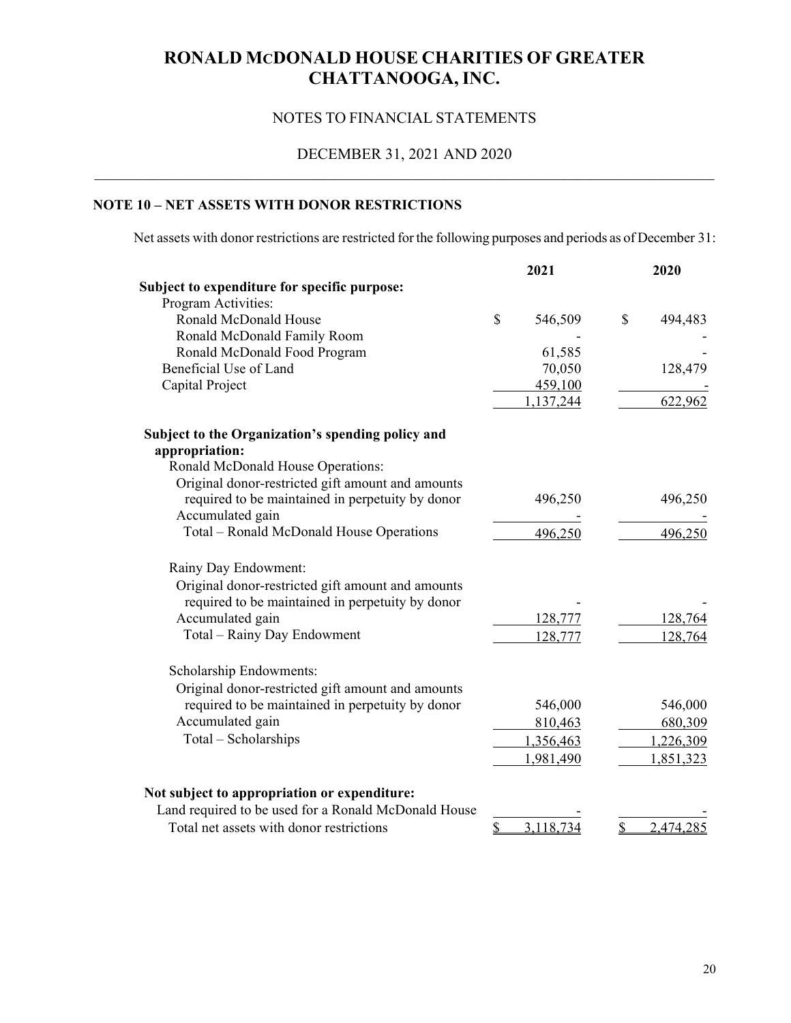## NOTES TO FINANCIAL STATEMENTS

DECEMBER 31, 2021 AND 2020

## **NOTE 10 – NET ASSETS WITH DONOR RESTRICTIONS**

Net assets with donor restrictions are restricted for the following purposes and periods as of December 31:

|                                                      |                         | 2021      | 2020            |
|------------------------------------------------------|-------------------------|-----------|-----------------|
| Subject to expenditure for specific purpose:         |                         |           |                 |
| Program Activities:                                  |                         |           |                 |
| Ronald McDonald House                                | $\mathbb{S}$            | 546,509   | \$<br>494,483   |
| Ronald McDonald Family Room                          |                         |           |                 |
| Ronald McDonald Food Program                         |                         | 61,585    |                 |
| Beneficial Use of Land                               |                         | 70,050    | 128,479         |
| Capital Project                                      |                         | 459,100   |                 |
|                                                      |                         | 1,137,244 | 622,962         |
| Subject to the Organization's spending policy and    |                         |           |                 |
| appropriation:                                       |                         |           |                 |
| Ronald McDonald House Operations:                    |                         |           |                 |
| Original donor-restricted gift amount and amounts    |                         |           |                 |
| required to be maintained in perpetuity by donor     |                         | 496,250   | 496,250         |
| Accumulated gain                                     |                         |           |                 |
| Total - Ronald McDonald House Operations             |                         | 496,250   | 496,250         |
| Rainy Day Endowment:                                 |                         |           |                 |
| Original donor-restricted gift amount and amounts    |                         |           |                 |
| required to be maintained in perpetuity by donor     |                         |           |                 |
| Accumulated gain                                     |                         | 128,777   | 128,764         |
| Total - Rainy Day Endowment                          |                         | 128,777   | 128,764         |
| Scholarship Endowments:                              |                         |           |                 |
| Original donor-restricted gift amount and amounts    |                         |           |                 |
| required to be maintained in perpetuity by donor     |                         | 546,000   | 546,000         |
| Accumulated gain                                     |                         | 810,463   | 680,309         |
| Total - Scholarships                                 |                         | 1,356,463 | 1,226,309       |
|                                                      |                         | 1,981,490 | 1,851,323       |
|                                                      |                         |           |                 |
| Not subject to appropriation or expenditure:         |                         |           |                 |
| Land required to be used for a Ronald McDonald House |                         |           |                 |
| Total net assets with donor restrictions             | $\overline{\mathbb{S}}$ | 3,118,734 | \$<br>2,474,285 |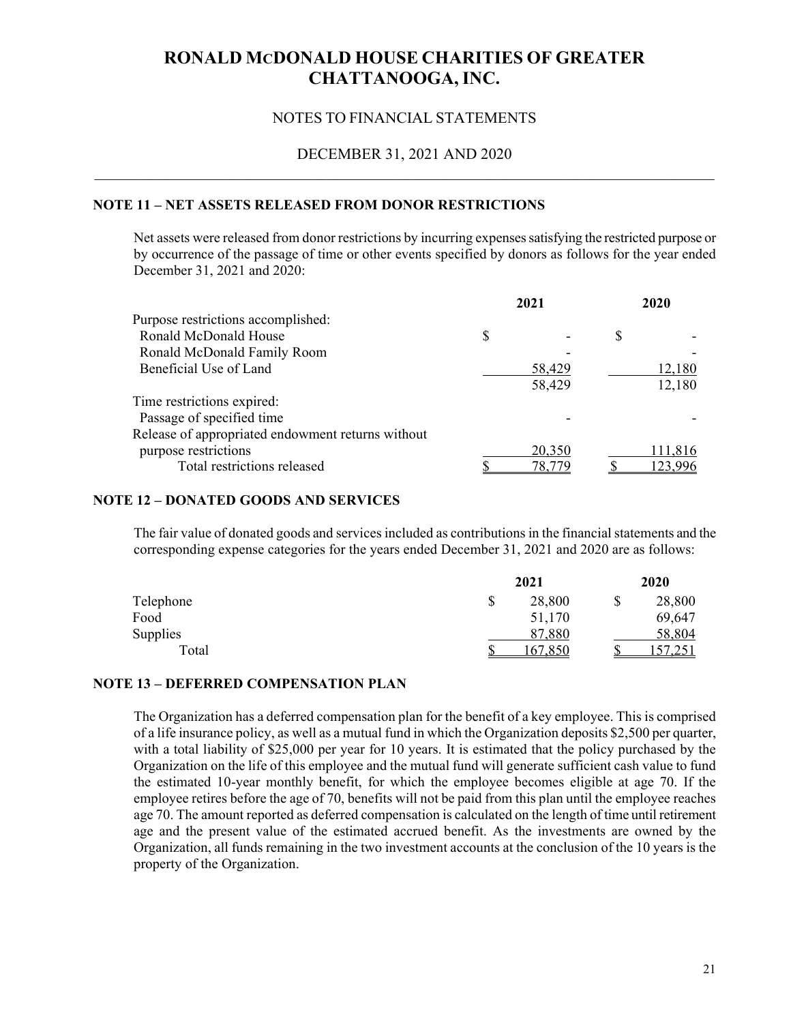### NOTES TO FINANCIAL STATEMENTS

#### DECEMBER 31, 2021 AND 2020

#### **NOTE 11 – NET ASSETS RELEASED FROM DONOR RESTRICTIONS**

Net assets were released from donor restrictions by incurring expenses satisfying the restricted purpose or by occurrence of the passage of time or other events specified by donors as follows for the year ended December 31, 2021 and 2020:

|                                                   |   | 2021   |   | 2020    |
|---------------------------------------------------|---|--------|---|---------|
| Purpose restrictions accomplished:                |   |        |   |         |
| Ronald McDonald House                             | S |        | S |         |
| Ronald McDonald Family Room                       |   |        |   |         |
| Beneficial Use of Land                            |   | 58,429 |   | 12,180  |
|                                                   |   | 58,429 |   | 12,180  |
| Time restrictions expired:                        |   |        |   |         |
| Passage of specified time                         |   |        |   |         |
| Release of appropriated endowment returns without |   |        |   |         |
| purpose restrictions                              |   | 20,350 |   | 111,816 |
| Total restrictions released                       |   |        |   | 123.996 |

#### **NOTE 12 – DONATED GOODS AND SERVICES**

The fair value of donated goods and services included as contributions in the financial statements and the corresponding expense categories for the years ended December 31, 2021 and 2020 are as follows:

|           | 2021    |    |               |
|-----------|---------|----|---------------|
| Telephone | 28,800  | \$ | 28,800        |
| Food      | 51,170  |    | 69,647        |
| Supplies  | 87,880  |    | 58,804        |
| Total     | 167.850 |    | <u>57,251</u> |

#### **NOTE 13 – DEFERRED COMPENSATION PLAN**

The Organization has a deferred compensation plan for the benefit of a key employee. This is comprised of a life insurance policy, as well as a mutual fund in which the Organization deposits \$2,500 per quarter, with a total liability of \$25,000 per year for 10 years. It is estimated that the policy purchased by the Organization on the life of this employee and the mutual fund will generate sufficient cash value to fund the estimated 10-year monthly benefit, for which the employee becomes eligible at age 70. If the employee retires before the age of 70, benefits will not be paid from this plan until the employee reaches age 70. The amount reported as deferred compensation is calculated on the length of time until retirement age and the present value of the estimated accrued benefit. As the investments are owned by the Organization, all funds remaining in the two investment accounts at the conclusion of the 10 years is the property of the Organization.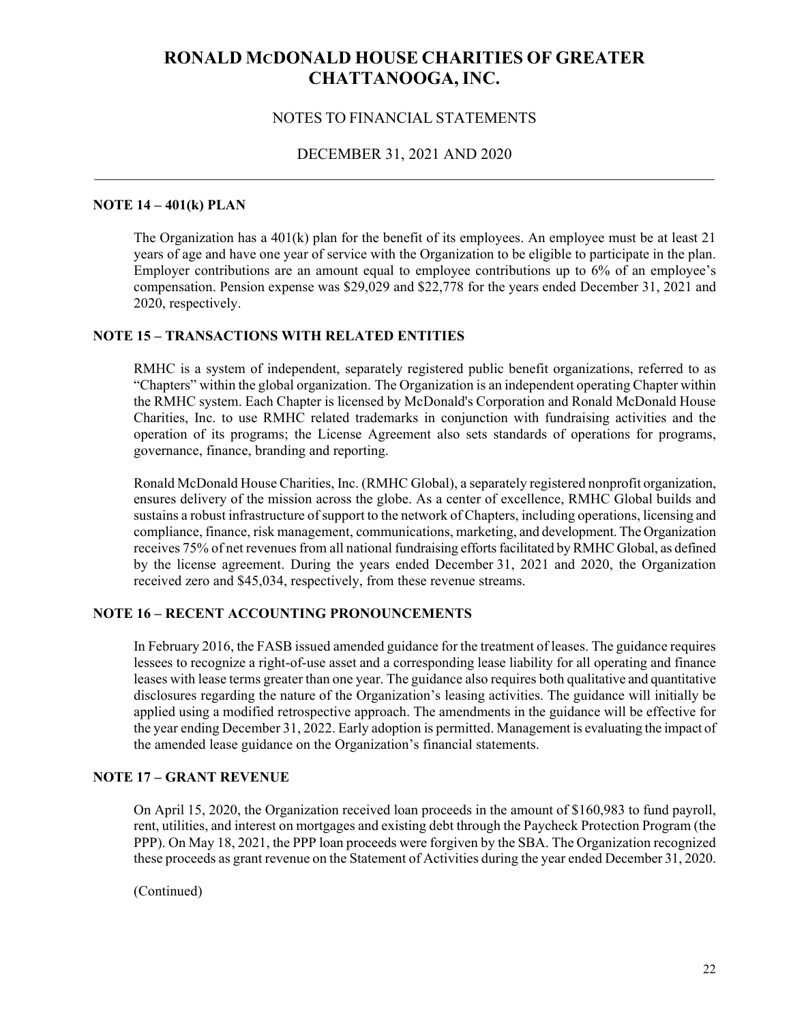## NOTES TO FINANCIAL STATEMENTS

### DECEMBER 31, 2021 AND 2020

#### **NOTE 14 – 401(k) PLAN**

The Organization has a  $401(k)$  plan for the benefit of its employees. An employee must be at least 21 years of age and have one year of service with the Organization to be eligible to participate in the plan. Employer contributions are an amount equal to employee contributions up to 6% of an employee's compensation. Pension expense was \$29,029 and \$22,778 for the years ended December 31, 2021 and 2020, respectively.

## **NOTE 15 – TRANSACTIONS WITH RELATED ENTITIES**

RMHC is a system of independent, separately registered public benefit organizations, referred to as "Chapters" within the global organization. The Organization is an independent operating Chapter within the RMHC system. Each Chapter is licensed by McDonald's Corporation and Ronald McDonald House Charities, Inc. to use RMHC related trademarks in conjunction with fundraising activities and the operation of its programs; the License Agreement also sets standards of operations for programs, governance, finance, branding and reporting.

Ronald McDonald House Charities, Inc. (RMHC Global), a separately registered nonprofit organization, ensures delivery of the mission across the globe. As a center of excellence, RMHC Global builds and sustains a robust infrastructure of support to the network of Chapters, including operations, licensing and compliance, finance, risk management, communications, marketing, and development. The Organization receives 75% of net revenues from all national fundraising efforts facilitated by RMHC Global, as defined by the license agreement. During the years ended December 31, 2021 and 2020, the Organization received zero and \$45,034, respectively, from these revenue streams.

#### **NOTE 16 – RECENT ACCOUNTING PRONOUNCEMENTS**

In February 2016, the FASB issued amended guidance for the treatment of leases. The guidance requires lessees to recognize a right-of-use asset and a corresponding lease liability for all operating and finance leases with lease terms greater than one year. The guidance also requires both qualitative and quantitative disclosures regarding the nature of the Organization's leasing activities. The guidance will initially be applied using a modified retrospective approach. The amendments in the guidance will be effective for the year ending December 31, 2022. Early adoption is permitted. Management is evaluating the impact of the amended lease guidance on the Organization's financial statements.

#### **NOTE 17 – GRANT REVENUE**

On April 15, 2020, the Organization received loan proceeds in the amount of \$160,983 to fund payroll, rent, utilities, and interest on mortgages and existing debt through the Paycheck Protection Program (the PPP). On May 18, 2021, the PPP loan proceeds were forgiven by the SBA. The Organization recognized these proceeds as grant revenue on the Statement of Activities during the year ended December 31, 2020.